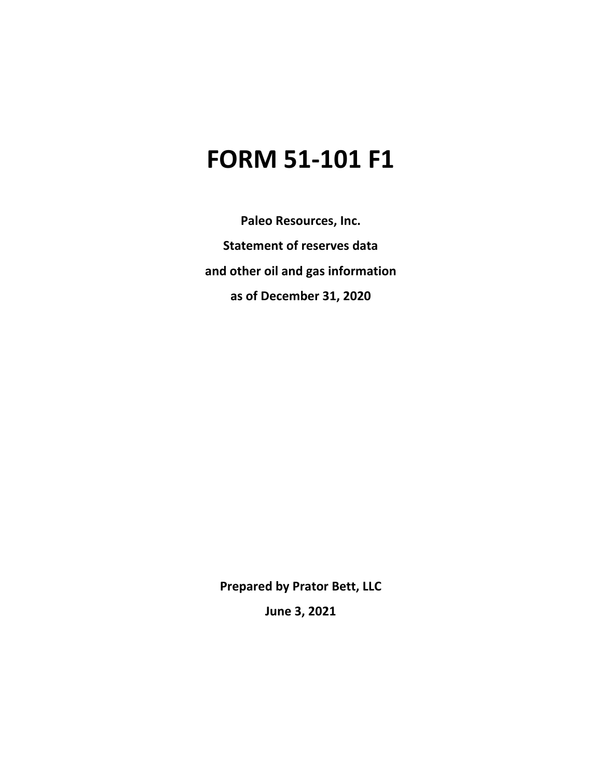# **FORM 51-101 F1**

**Paleo Resources, Inc. Statement of reserves data and other oil and gas information as of December 31, 2020**

**Prepared by Prator Bett, LLC**

**June 3, 2021**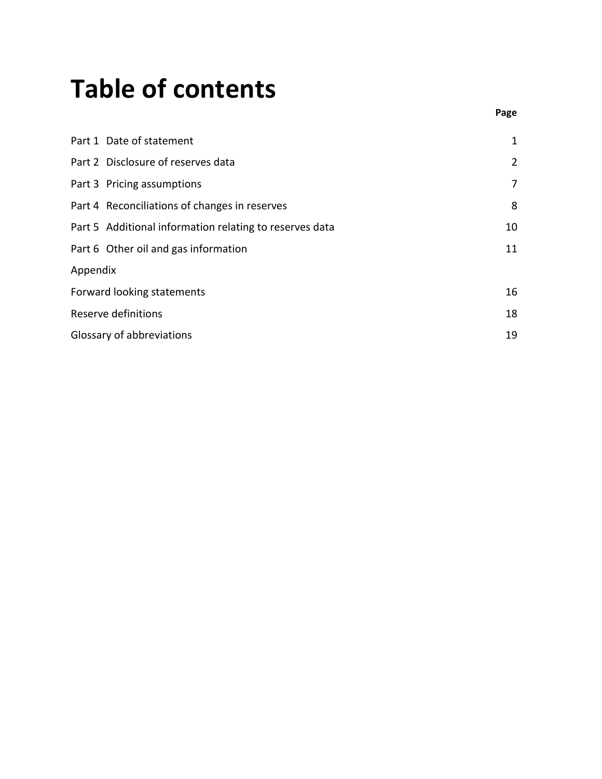# **Table of contents**

|          | Part 1 Date of statement                                | $\mathbf 1$    |
|----------|---------------------------------------------------------|----------------|
|          | Part 2 Disclosure of reserves data                      | $\overline{2}$ |
|          | Part 3 Pricing assumptions                              | 7              |
|          | Part 4 Reconciliations of changes in reserves           | 8              |
|          | Part 5 Additional information relating to reserves data | 10             |
|          | Part 6 Other oil and gas information                    | 11             |
| Appendix |                                                         |                |
|          | Forward looking statements                              | 16             |
|          | Reserve definitions                                     | 18             |
|          | Glossary of abbreviations                               | 19             |

**Page**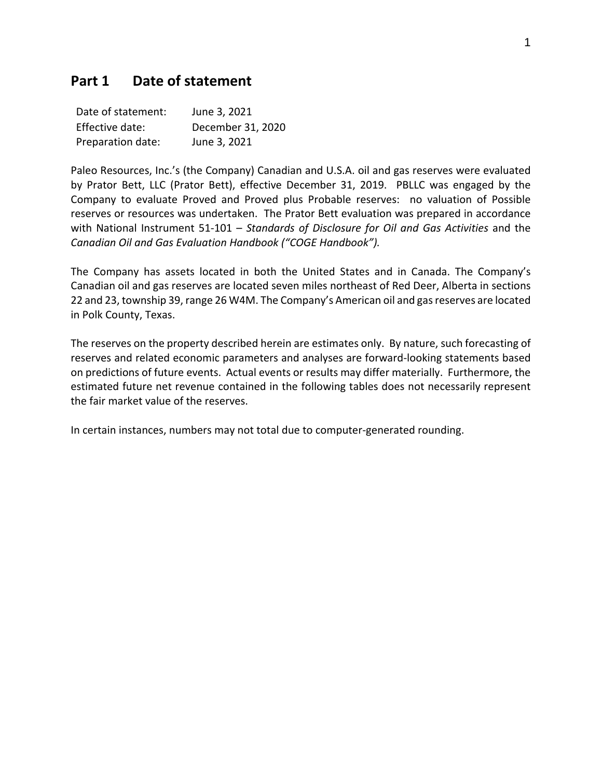# **Part 1 Date of statement**

| Date of statement: | June 3, 2021      |
|--------------------|-------------------|
| Effective date:    | December 31, 2020 |
| Preparation date:  | June 3, 2021      |

Paleo Resources, Inc.'s (the Company) Canadian and U.S.A. oil and gas reserves were evaluated by Prator Bett, LLC (Prator Bett), effective December 31, 2019. PBLLC was engaged by the Company to evaluate Proved and Proved plus Probable reserves: no valuation of Possible reserves or resources was undertaken. The Prator Bett evaluation was prepared in accordance with National Instrument 51-101 – *Standards of Disclosure for Oil and Gas Activities* and the *Canadian Oil and Gas Evaluation Handbook ("COGE Handbook").*

The Company has assets located in both the United States and in Canada. The Company's Canadian oil and gas reserves are located seven miles northeast of Red Deer, Alberta in sections 22 and 23, township 39, range 26 W4M. The Company's American oil and gas reserves are located in Polk County, Texas.

The reserves on the property described herein are estimates only. By nature, such forecasting of reserves and related economic parameters and analyses are forward-looking statements based on predictions of future events. Actual events or results may differ materially. Furthermore, the estimated future net revenue contained in the following tables does not necessarily represent the fair market value of the reserves.

In certain instances, numbers may not total due to computer-generated rounding.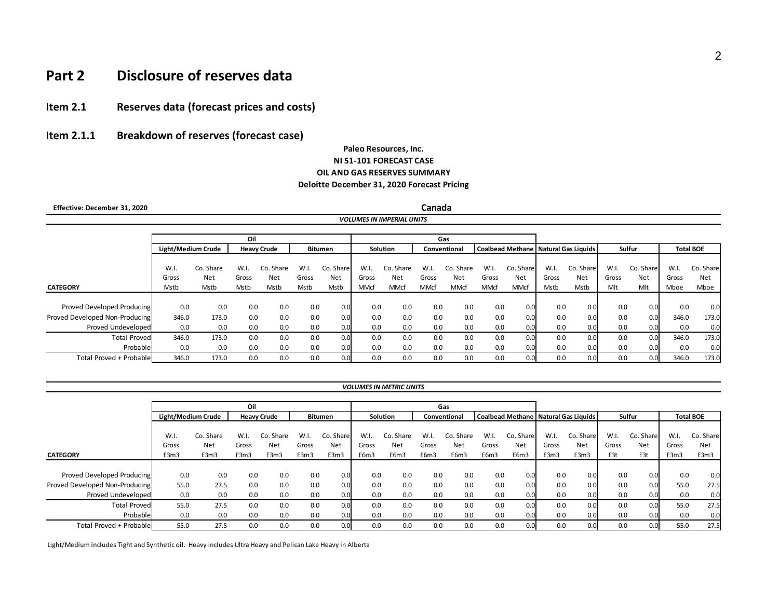# **Part 2 Disclosure of reserves data**

# **Item 2.1 Reserves data (forecast prices and costs)**

**Item 2.1.1 Breakdown of reserves (forecast case)** 

#### **Paleo Resources, Inc. NI 51-101 FORECAST CASE OIL AND GAS RESERVES SUMMARY Deloitte December 31, 2020 Forecast Pricing**

*VOLUMES IN IMPERIAL UNITS*

 **Effective: December 31, 2020**

**Canada**

|                                |                    |           | Oil   |                    |       |           | Gas   |                 |       |              |             |                                        |       |            |       |           |                  |           |
|--------------------------------|--------------------|-----------|-------|--------------------|-------|-----------|-------|-----------------|-------|--------------|-------------|----------------------------------------|-------|------------|-------|-----------|------------------|-----------|
|                                | Light/Medium Crude |           |       | <b>Heavy Crude</b> |       | Bitumen   |       | <b>Solution</b> |       | Conventional |             | Coalbead Methane   Natural Gas Liquids |       |            |       | Sulfur    | <b>Total BOE</b> |           |
|                                |                    |           |       |                    |       |           |       |                 |       |              |             |                                        |       |            |       |           |                  |           |
|                                | W.I.               | Co. Share | W.I.  | Co. Share          | W.I.  | Co. Share | W.I.  | Co. Share       | W.I.  | Co. Share    | W.I.        | Co. Share                              | W.I.  | Co. Share  | W.I.  | Co. Share | W.I.             | Co. Share |
|                                | Gross              | Net       | Gross | Net                | Gross | Net       | Gross | Net             | Gross | <b>Net</b>   | Gross       | Net                                    | Gross | <b>Net</b> | Gross | Net       | Gross            | Net       |
| <b>CATEGORY</b>                | Mstb               | Mstb      | Mstb  | Mstb               | Mstb  | Mstb      | MMcf  | <b>MMcf</b>     | MMcf  | MMcf         | <b>MMcf</b> | MMcf                                   | Mstb  | Mstb       | Mlt   | Mlt       | Mboe             | Mboe      |
|                                |                    |           |       |                    |       |           |       |                 |       |              |             |                                        |       |            |       |           |                  |           |
| Proved Developed Producing     | 0.0                | 0.0       | 0.0   | 0.0                | 0.0   | 0.0       | 0.0   | 0.0             | 0.0   | 0.0          | 0.0         | 0.0                                    | 0.0   | 0.0        | 0.0   | 0.0       | 0.0              | 0.0       |
| Proved Developed Non-Producing | 346.0              | 173.0     | 0.0   | 0.0                | 0.0   | 0.0       | 0.0   | 0.0             | 0.0   | 0.0          | 0.0         | 0.0                                    | 0.0   | 0.0        | 0.0   | 0.0       | 346.0            | 173.0     |
| Proved Undeveloped             | 0.0                | 0.0       | 0.0   | 0.0                | 0.0   | 0.0       | 0.0   | 0.0             | 0.0   | 0.0          | 0.0         | 0.0                                    | 0.0   | 0.0        | 0.0   | 0.0       | 0.0              | 0.0       |
| <b>Total Proved</b>            | 346.0              | 173.0     | 0.0   | 0.0                | 0.0   | 0.0       | 0.0   | 0.0             | 0.0   | 0.0          | 0.0         | 0.0                                    | 0.0   | 0.0        | 0.0   | 0.0       | 346.0            | 173.0     |
| Probable                       | 0.0                | 0.0       | 0.0   | 0.0                | 0.0   | 0.0       | 0.0   | 0.0             | 0.0   | 0.0          | 0.0         | 0.0                                    | 0.0   | 0.0        | 0.0   | 0.0       | 0.0              | 0.0       |
| Total Proved + Probable        | 346.0              | 173.0     | 0.0   | 0.0                | 0.0   | 0.0       | 0.0   | 0.0             | 0.0   | 0.0          | 0.0         | 0.0                                    | 0.0   | 0.0        | 0.0   | 0.0       | 346.0            | 173.0     |

| VOLUMES IN METRIC UNITS |  |
|-------------------------|--|
|-------------------------|--|

|                                |                    |           | Oil   |                    |       |                | Gas      |           |              |           |                                        |           |       |           |        |            |                  |           |
|--------------------------------|--------------------|-----------|-------|--------------------|-------|----------------|----------|-----------|--------------|-----------|----------------------------------------|-----------|-------|-----------|--------|------------|------------------|-----------|
|                                | Light/Medium Crude |           |       | <b>Heavy Crude</b> |       | <b>Bitumen</b> | Solution |           | Conventional |           | Coalbead Methane   Natural Gas Liquids |           |       |           | Sulfur |            | <b>Total BOE</b> |           |
|                                |                    |           |       |                    |       |                |          |           |              |           |                                        |           |       |           |        |            |                  |           |
|                                | W.I.               | Co. Share | W.I.  | Co. Share          | W.I.  | Co. Share      | W.I.     | Co. Share | W.I.         | Co. Share | W.I.                                   | Co. Share | W.I.  | Co. Share | W.I.   | Co. Share  | W.I.             | Co. Share |
|                                | Gross              | Net       | Gross | Net                | Gross | Net            | Gross    | Net       | Gross        | Net       | Gross                                  | Net       | Gross | Net       | Gross  | <b>Net</b> | Gross            | Net       |
| <b>CATEGORY</b>                | E3m3               | E3m3      | E3m3  | E3m3               | E3m3  | E3m3           | E6m3     | E6m3      | E6m3         | E6m3      | E6m3                                   | E6m3      | E3m3  | E3m3      | E3t    | E3t        | E3m3             | E3m3      |
|                                |                    |           |       |                    |       |                |          |           |              |           |                                        |           |       |           |        |            |                  |           |
| Proved Developed Producing     | 0.0                | 0.0       | 0.0   | 0.0                | 0.0   | 0.0            | 0.0      | 0.0       | 0.0          | 0.0       | 0.0                                    | 0.0       | 0.0   | 0.0       | 0.0    | 0.0        | 0.0              | 0.0       |
| Proved Developed Non-Producing | 55.0               | 27.5      | 0.0   | 0.0                | 0.0   | 0.0            | 0.0      | 0.0       | 0.0          | 0.0       | 0.0                                    | 0.0       | 0.0   | 0.0       | 0.0    | 0.0        | 55.0             | 27.5      |
| Proved Undeveloped             | 0.0                | 0.0       | 0.0   | 0.0                | 0.0   | 0.0            | 0.0      | 0.0       | 0.0          | 0.0       | 0.0                                    | 0.0       | 0.0   | 0.0       | 0.0    | 0.01       | 0.0              | 0.0       |
| <b>Total Proved</b>            | 55.0               | 27.5      | 0.0   | 0.0                | 0.0   | 0.0            | 0.0      | 0.0       | 0.0          | 0.0       | 0.0                                    | 0.0       | 0.0   | 0.0       | 0.0    | 0.0        | 55.0             | 27.5      |
| Probable                       | 0.0                | 0.0       | 0.0   | 0.0                | 0.0   | 0.0            | 0.0      | 0.0       | 0.0          | 0.0       | 0.0                                    | 0.0       | 0.0   | 0.0       | 0.0    | 0.01       | 0.0              | 0.0       |
| Total Proved + Probable        | 55.0               | 27.5      | 0.0   | 0.0                | 0.0   | 0.0            | 0.0      | 0.0       | 0.0          | 0.0       | 0.0                                    | 0.0       | 0.0   | 0.0       | 0.0    | 0.0        | 55.0             | 27.5      |

Light/Medium includes Tight and Synthetic oil. Heavy includes Ultra Heavy and Pelican Lake Heavy in Alberta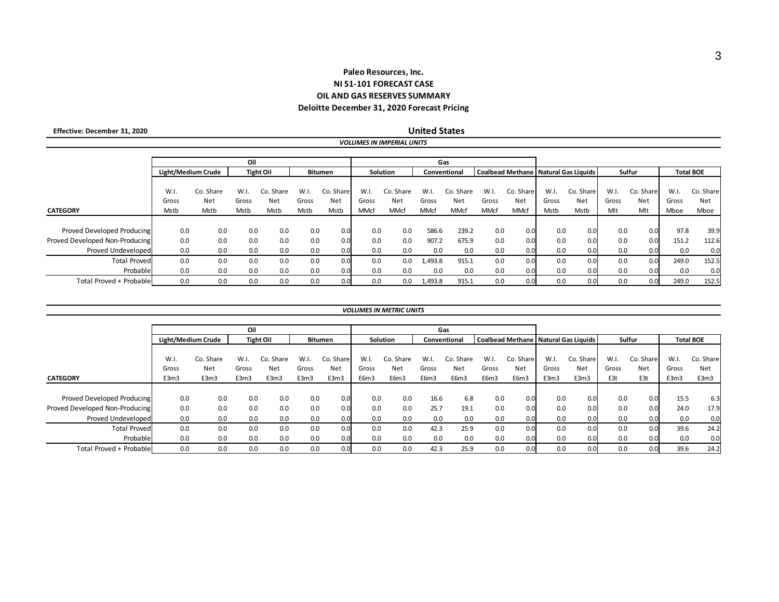## **OIL AND GAS RESERVES SUMMARY Paleo Resources, Inc. NI 51-101 FORECAST CASE Deloitte December 31, 2020 Forecast Pricing**

*VOLUMES IN IMPERIAL UNITS*

 **Effective: December 31, 2020**

**United States**

|                                |                    |           | Oil   |                  |       |           | Gas                      |             |             |             |             |                                                  |       |           |       |                  |       |           |
|--------------------------------|--------------------|-----------|-------|------------------|-------|-----------|--------------------------|-------------|-------------|-------------|-------------|--------------------------------------------------|-------|-----------|-------|------------------|-------|-----------|
|                                | Light/Medium Crude |           |       | <b>Tight Oil</b> |       | Bitumen   | Solution<br>Conventional |             |             |             |             | Coalbead Methane   Natural Gas Liquids<br>Sulfur |       |           |       | <b>Total BOE</b> |       |           |
|                                |                    |           |       |                  |       |           |                          |             |             |             |             |                                                  |       |           |       |                  |       |           |
|                                | W.I.               | Co. Share | W.I   | Co. Share        | W.I.  | Co. Share | W.I.                     | Co. Share   | W.I.        | Co. Share   | W.I.        | Co. Share                                        | W.I.  | Co. Share | W.I.  | Co. Share        | W.I   | Co. Share |
|                                | Gross              | Net       | Gross | Net              | Gross | Net       | Gross                    | Net         | Gross       | <b>Net</b>  | Gross       | Net                                              | Gross | Net       | Gross | Net              | Gross | Net       |
| <b>CATEGORY</b>                | Mstb               | Mstb      | Mstb  | Mstb             | Mstb  | Mstb      | MMcf                     | <b>MMcf</b> | <b>MMcf</b> | <b>MMcf</b> | <b>MMcf</b> | <b>MMcf</b>                                      | Mstb  | Mstb      | Mlt   | Mlt              | Mboe  | Mboe      |
|                                |                    |           |       |                  |       |           |                          |             |             |             |             |                                                  |       |           |       |                  |       |           |
| Proved Developed Producing     | 0.0                | 0.0       | 0.0   | 0.0              | 0.0   | 0.0       | 0.0                      | 0.0         | 586.6       | 239.2       | 0.0         | 0.0                                              | 0.0   | 0.0       | 0.0   | 0.0              | 97.8  | 39.9      |
| Proved Developed Non-Producing | 0.0                | 0.0       | 0.0   | 0.0              | 0.0   | 0.0       | 0.0                      | 0.0         | 907.2       | 675.9       | 0.0         | 0.0                                              | 0.0   | 0.0       | 0.0   | 0.0              | 151.2 | 112.6     |
| Proved Undeveloped             | 0.0                | 0.0       | 0.0   | 0.0              | 0.0   | 0.0       | 0.0                      | 0.0         | 0.0         | 0.0         | 0.0         | 0. <sub>C</sub>                                  | 0.0   | 0.0       | 0.0   | 0.0              | 0.0   | 0.0       |
| <b>Total Proved</b>            | 0.0                | 0.0       | 0.0   | 0.0              | 0.0   | 0.0       | 0.0                      | 0.0         | 1,493.8     | 915.1       | 0.0         | 0.0                                              | 0.0   | 0.0       | 0.0   | 0.0              | 249.0 | 152.5     |
| Probable                       | 0.0                | 0.0       | 0.0   | 0.0              | 0.0   | 0.0       | 0.0                      | 0.0         | 0.0         | 0.0         | 0.0         | 0. <sub>C</sub>                                  | 0.0   | 0.0       | 0.0   | 0.0              | 0.0   | 0.0       |
| Total Proved + Probable        | 0.0                | 0.0       | 0.0   | 0.0              | 0.0   | 0.C       | 0.0                      | 0.0         | 1,493.8     | 915.1       | 0.0         | 0. <sub>C</sub>                                  | 0.0   | 0.0       | 0.0   | 0.0              | 249.0 | 152.5     |

#### *VOLUMES IN METRIC UNITS*

|                                | Oil                |                         |               |                     |                  |                  | Gas           |                          |               |                  |               |                                                 |               |                  |               |                  |               |                  |
|--------------------------------|--------------------|-------------------------|---------------|---------------------|------------------|------------------|---------------|--------------------------|---------------|------------------|---------------|-------------------------------------------------|---------------|------------------|---------------|------------------|---------------|------------------|
|                                | Light/Medium Crude |                         |               | <b>Tight Oil</b>    | <b>Bitumen</b>   |                  |               | Solution<br>Conventional |               |                  |               | <b>Coalbead Methane   Natural Gas Liquids  </b> |               | Sulfur           |               | <b>Total BOE</b> |               |                  |
|                                | W.I.<br>Gross      | Co. Share<br><b>Net</b> | W.I.<br>Gross | Share<br>Co.<br>Net | $W_{1}$<br>Gross | Co. Share<br>Net | W.I.<br>Gross | Co. Share<br>Net         | W.I.<br>Gross | Co. Share<br>Net | W.I.<br>Gross | Co. Share<br>Net                                | W.I.<br>Gross | Co. Share<br>Net | W.I.<br>Gross | Co. Share<br>Net | W.I.<br>Gross | Co. Share<br>Net |
| <b>CATEGORY</b>                | E3m3               | E3m3                    | E3m3          | E3m3                | E3m3             | E3m3             | E6m3          | E6m3                     | E6m3          | E6m3             | E6m3          | E6m3                                            | E3m3          | E3m3             | E3t           | E3t              | E3m3          | E3m3             |
|                                |                    |                         |               |                     |                  |                  |               |                          |               |                  |               |                                                 |               |                  |               |                  |               |                  |
| Proved Developed Producing     | 0.0                | 0.0                     | 0.0           | 0.0                 | 0.0              | 0.0              | 0.0           | 0.0                      | 16.6          | 6.8              | 0.0           | 0. <sub>C</sub>                                 | 0.0           | 0.0              | 0.0           | 0.0              | 15.5          | 6.3              |
| Proved Developed Non-Producing | 0.0                | 0.0                     | 0.0           | 0.0                 | 0.0              | 0.0              | 0.0           | 0.0                      | 25.7          | 19.1             | 0.0           | 0.0                                             | 0.0           | 0.0              | 0.0           | 0.0              | 24.0          | 17.9             |
| Proved Undeveloped             | 0.0                | 0.0                     | 0.0           | 0.0                 | 0.0              | 0.0              | 0.0           | 0.0                      | 0.0           | 0.0              | 0.0           | 0. <sub>C</sub>                                 | 0.0           | 0.0              | 0.0           | 0.0              | 0.0           | 0.0              |
| <b>Total Proved</b>            | 0.0                | 0.0                     | 0.0           | 0.0                 | 0.0              | 0.0              | 0.0           | 0.0                      | 42.3          | 25.9             | 0.0           | 0.0                                             | 0.0           | 0.0              | 0.0           | 0.0              | 39.6          | 24.2             |
| Probable                       | 0.0                | 0.0                     | 0.0           | 0.0                 | 0.0              | 0.0 <sub>l</sub> | 0.0           | 0.0                      | 0.0           | 0.0              | 0.0           | 0.0                                             | 0.0           | 0.0              | 0.0           | 0.0              | 0.0           | 0.0              |
| Total Proved + Probable        | 0.0                | 0.0                     | 0.0           | 0.0                 | 0.0              | 0.0              | 0.0           | 0.0                      | 42.3          | 25.9             | 0.0           | 0. <sub>C</sub>                                 | 0.0           | 0.0              | 0.0           | 0.0              | 39.6          | 24.2             |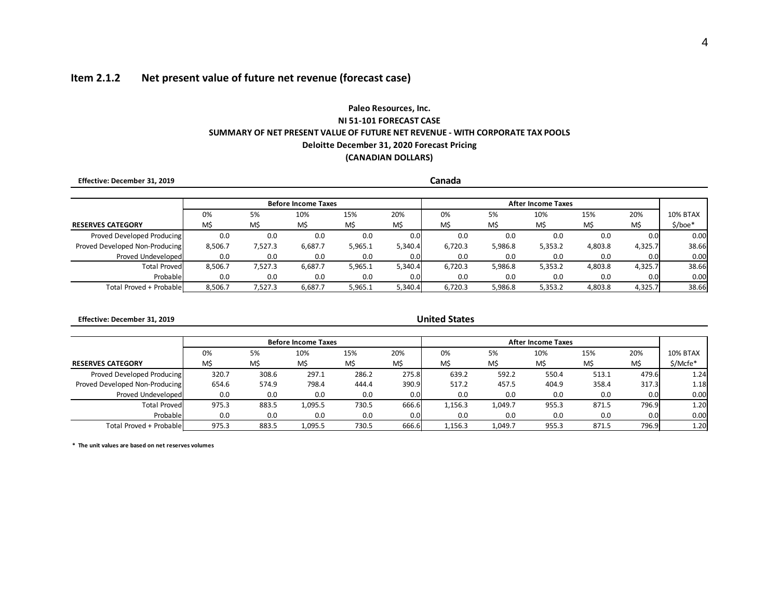# **Item 2.1.2 Net present value of future net revenue (forecast case)**

# **Paleo Resources, Inc. (CANADIAN DOLLARS) NI 51-101 FORECAST CASE SUMMARY OF NET PRESENT VALUE OF FUTURE NET REVENUE - WITH CORPORATE TAX POOLS Deloitte December 31, 2020 Forecast Pricing**

| Effective: December 31, 2019   |         |         |                            | Canada  |         |         |         |                           |         |         |                 |
|--------------------------------|---------|---------|----------------------------|---------|---------|---------|---------|---------------------------|---------|---------|-----------------|
|                                |         |         | <b>Before Income Taxes</b> |         |         |         |         | <b>After Income Taxes</b> |         |         |                 |
|                                | 0%      | 5%      | 10%                        | 15%     | 20%     | 0%      | 5%      | 10%                       | 15%     | 20%     | <b>10% BTAX</b> |
| <b>RESERVES CATEGORY</b>       | M\$     | M\$     | M\$                        | M\$     | M\$     | M\$     | M\$     | M\$                       | M\$     | M\$     | $$/$ boe*       |
| Proved Developed Producing     | 0.0     | 0.0     | 0.0                        | 0.0     | 0.0     | 0.0     | 0.0     | 0.0                       | 0.0     | 0.0     | 0.00            |
| Proved Developed Non-Producing | 8,506.7 | 7,527.3 | 6,687.7                    | 5,965.1 | 5,340.4 | 6,720.3 | 5,986.8 | 5,353.2                   | 4,803.8 | 4,325.7 | 38.66           |
| Proved Undeveloped             | 0.0     | 0.0     | 0.0                        | 0.0     | 0.0     | 0.0     | 0.0     | 0.0                       | 0.0     | 0.0     | 0.00            |
| <b>Total Provedl</b>           | 8.506.7 | 7.527.3 | 6.687.7                    | 5,965.1 | 5,340.4 | 6,720.3 | 5,986.8 | 5,353.2                   | 4,803.8 | 4,325.7 | 38.66           |
| Probable                       | 0.0     | 0.0     | 0.0                        | 0.0     | 0.0     | 0.0     | 0.0     | 0.0                       | 0.0     | 0.0     | 0.00            |
| Total Proved + Probable        | 8,506.7 | 7,527.3 | 6,687.7                    | 5,965.1 | 5,340.4 | 6,720.3 | 5,986.8 | 5,353.2                   | 4,803.8 | 4,325.7 | 38.66           |

 **Effective: December 31, 2019**

**United States**

|                                |       |       | <b>Before Income Taxes</b> |       |                  |         |         |                 |       |       |          |
|--------------------------------|-------|-------|----------------------------|-------|------------------|---------|---------|-----------------|-------|-------|----------|
|                                | 0%    | 5%    | 10%                        | 15%   | 20%              | 0%      | 20%     | <b>10% BTAX</b> |       |       |          |
| <b>RESERVES CATEGORY</b>       | M\$   | M\$   | M\$                        | M\$   | M\$              | M\$     | M\$     | M\$             | M\$   | M\$   | \$/Mcfe* |
| Proved Developed Producing     | 320.7 | 308.6 | 297.1                      | 286.2 | 275.8            | 639.2   | 592.2   | 550.4           | 513.1 | 479.6 | 1.24     |
| Proved Developed Non-Producing | 654.6 | 574.9 | 798.4                      | 444.4 | 390.9            | 517.2   | 457.5   | 404.9           | 358.4 | 317.3 | 1.18     |
| Proved Undeveloped             | 0.0   | 0.0   | 0.0                        | 0.0   | 0.0              | 0.0     | 0.0     | 0.0             | 0.0   | 0.0   | 0.00     |
| Total Provedl                  | 975.3 | 883.5 | 1.095.5                    | 730.5 | 666.6            | 1,156.3 | 1.049.7 | 955.3           | 871.5 | 796.9 | 1.20     |
| Probable                       | 0.0   | 0.0   | 0.0                        | 0.0   | 0.0 <sub>l</sub> | 0.0     | 0.0     | 0.0             | 0.0   | 0.0   | 0.00     |
| Total Proved + Probable        | 975.3 | 883.5 | 1.095.5                    | 730.5 | 666.6            | 1,156.3 | 1.049.7 | 955.3           | 871.5 | 796.9 | 1.20     |

**\* The unit values are based on net reserves volumes**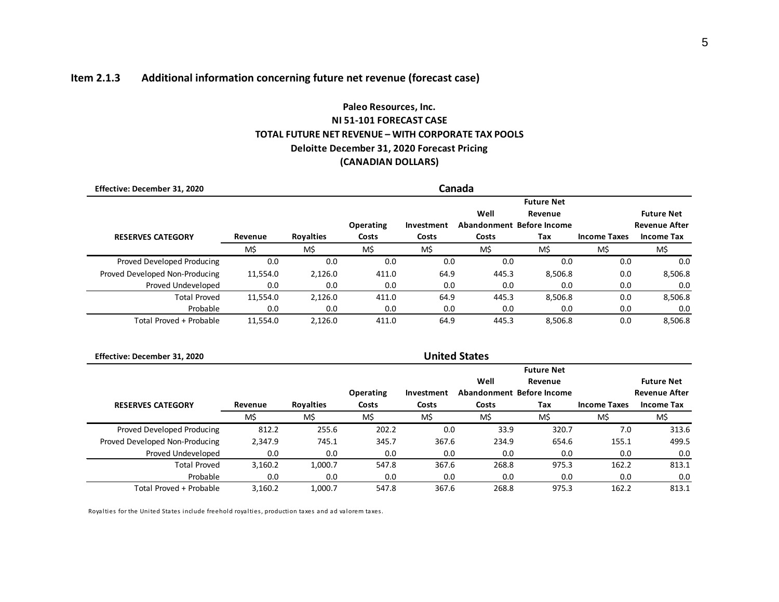# **Item 2.1.3 Additional information concerning future net revenue (forecast case)**

# **(CANADIAN DOLLARS) Paleo Resources, Inc. NI 51-101 FORECAST CASE TOTAL FUTURE NET REVENUE – WITH CORPORATE TAX POOLS Deloitte December 31, 2020 Forecast Pricing**

| Effective: December 31, 2020   |          |                  |                  |            | Canada |                              |                     |                      |
|--------------------------------|----------|------------------|------------------|------------|--------|------------------------------|---------------------|----------------------|
|                                |          |                  |                  |            | Well   | <b>Future Net</b><br>Revenue |                     | <b>Future Net</b>    |
|                                |          |                  | <b>Operating</b> | Investment |        | Abandonment Before Income    |                     | <b>Revenue After</b> |
| <b>RESERVES CATEGORY</b>       | Revenue  | <b>Royalties</b> | Costs            | Costs      | Costs  | Tax                          | <b>Income Taxes</b> | <b>Income Tax</b>    |
|                                | M\$      | M\$              | M\$              | M\$        | M\$    | M\$                          | M\$                 | M\$                  |
| Proved Developed Producing     | 0.0      | 0.0              | 0.0              | 0.0        | 0.0    | 0.0                          | 0.0                 | 0.0                  |
| Proved Developed Non-Producing | 11,554.0 | 2,126.0          | 411.0            | 64.9       | 445.3  | 8,506.8                      | 0.0                 | 8,506.8              |
| Proved Undeveloped             | 0.0      | 0.0              | 0.0              | 0.0        | 0.0    | 0.0                          | 0.0                 | 0.0                  |
| <b>Total Proved</b>            | 11,554.0 | 2.126.0          | 411.0            | 64.9       | 445.3  | 8.506.8                      | 0.0                 | 8,506.8              |
| Probable                       | 0.0      | 0.0              | 0.0              | 0.0        | 0.0    | 0.0                          | 0.0                 | 0.0                  |
| Total Proved + Probable        | 11.554.0 | 2.126.0          | 411.0            | 64.9       | 445.3  | 8.506.8                      | 0.0                 | 8.506.8              |

| Effective: December 31, 2020   |         |                  |           |            | <b>United States</b> |                           |                     |                      |
|--------------------------------|---------|------------------|-----------|------------|----------------------|---------------------------|---------------------|----------------------|
|                                |         |                  |           |            |                      | <b>Future Net</b>         |                     |                      |
|                                |         |                  |           |            | Well                 | Revenue                   |                     | <b>Future Net</b>    |
|                                |         |                  | Operating | Investment |                      | Abandonment Before Income |                     | <b>Revenue After</b> |
| <b>RESERVES CATEGORY</b>       | Revenue | <b>Royalties</b> | Costs     | Costs      | Costs                | Tax                       | <b>Income Taxes</b> | <b>Income Tax</b>    |
|                                | M\$     | M\$              | M\$       | M\$        | M\$                  | M\$                       | M\$                 | M\$                  |
| Proved Developed Producing     | 812.2   | 255.6            | 202.2     | 0.0        | 33.9                 | 320.7                     | 7.0                 | 313.6                |
| Proved Developed Non-Producing | 2,347.9 | 745.1            | 345.7     | 367.6      | 234.9                | 654.6                     | 155.1               | 499.5                |
| Proved Undeveloped             | 0.0     | 0.0              | 0.0       | 0.0        | 0.0                  | 0.0                       | 0.0                 | 0.0                  |
| <b>Total Proved</b>            | 3,160.2 | 1,000.7          | 547.8     | 367.6      | 268.8                | 975.3                     | 162.2               | 813.1                |
| Probable                       | 0.0     | 0.0              | 0.0       | 0.0        | 0.0                  | 0.0                       | 0.0                 | 0.0                  |
| Total Proved + Probable        | 3.160.2 | 1,000.7          | 547.8     | 367.6      | 268.8                | 975.3                     | 162.2               | 813.1                |

Royalties for the United States include freehold royalties, production taxes and ad valorem taxes.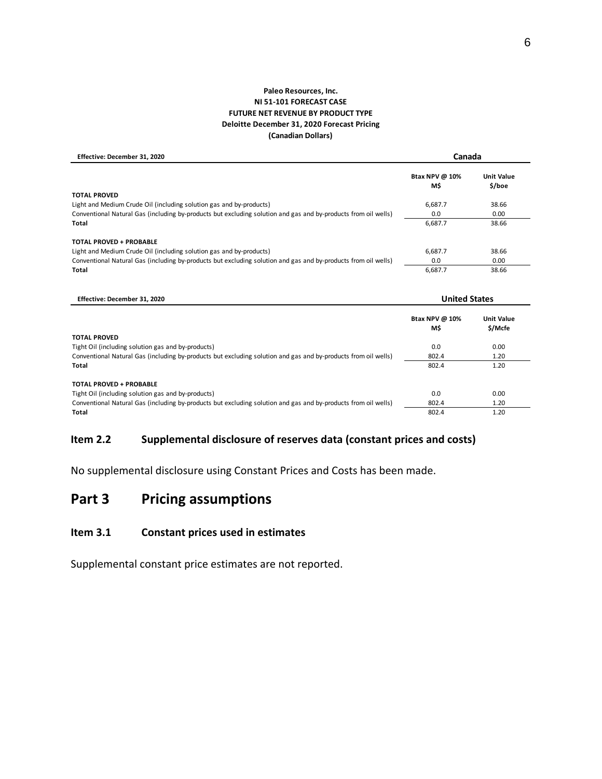#### **(Canadian Dollars) Paleo Resources, Inc. NI 51-101 FORECAST CASE FUTURE NET REVENUE BY PRODUCT TYPE Deloitte December 31, 2020 Forecast Pricing**

 **Effective: December 31, 2020 Btax NPV @ 10% Unit Value M\$ \$/boe TOTAL PROVED** Light and Medium Crude Oil (including solution gas and by-products) example and by-products from oil wells and the G687.7 38.66<br>Conventional Natural Gas (including by-products but excluding solution and gas and by-products Conventional Natural Gas (including by-products but excluding solution and gas and by-products from oil wells) 0.0 0.00 **Total** 6,687.7 38.66 **TOTAL PROVED + PROBABLE** Light and Medium Crude Oil (including solution gas and by-products) 6,687.7 38.66 Conventional Natural Gas (including by-products but excluding solution and gas and by-products from oil wells) 0.0 0.00 0.00 **Total** 6,687.7 38.66  **Effective: December 31, 2020 Btax NPV @ 10% Unit Value M\$ \$/Mcfe United States Canada**

|                                                                                                                | <b>IVI</b> | <b>SIMCLE</b> |
|----------------------------------------------------------------------------------------------------------------|------------|---------------|
| <b>TOTAL PROVED</b>                                                                                            |            |               |
| Tight Oil (including solution gas and by-products)                                                             | 0.0        | 0.00          |
| Conventional Natural Gas (including by-products but excluding solution and gas and by-products from oil wells) | 802.4      | 1.20          |
| Total                                                                                                          | 802.4      | 1.20          |
| <b>TOTAL PROVED + PROBABLE</b>                                                                                 |            |               |
| Tight Oil (including solution gas and by-products)                                                             | 0.0        | 0.00          |
| Conventional Natural Gas (including by-products but excluding solution and gas and by-products from oil wells) | 802.4      | 1.20          |
| Total                                                                                                          | 802.4      | 1.20          |

# **Item 2.2 Supplemental disclosure of reserves data (constant prices and costs)**

No supplemental disclosure using Constant Prices and Costs has been made.

# **Part 3 Pricing assumptions**

# **Item 3.1 Constant prices used in estimates**

Supplemental constant price estimates are not reported.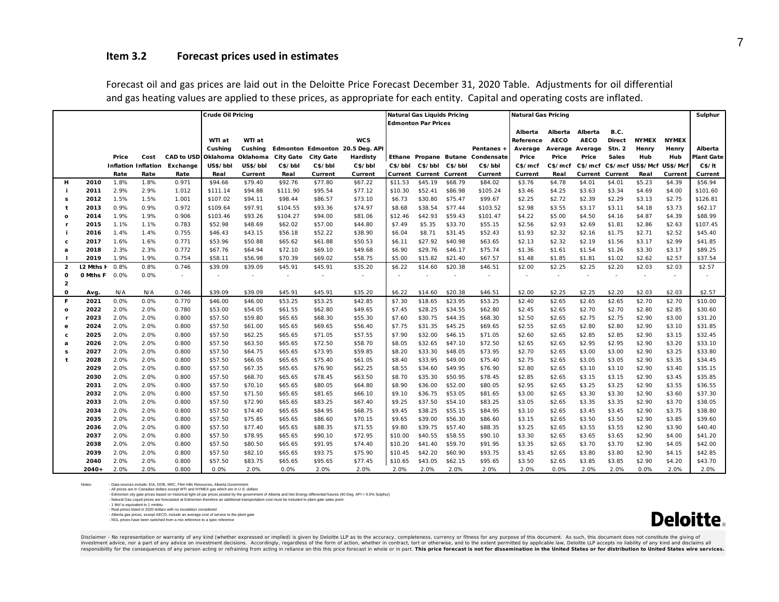## **Item 3.2 Forecast prices used in estimates**

|                |                      |       |                     |                   | Crude Oil Pricing        |                          |                  |                          |                                 |         | <b>Natural Gas Liquids Pricing</b> |                 |                          | <b>Natural Gas Pricing</b> |                          |                 |               |              |              | Sulphur           |
|----------------|----------------------|-------|---------------------|-------------------|--------------------------|--------------------------|------------------|--------------------------|---------------------------------|---------|------------------------------------|-----------------|--------------------------|----------------------------|--------------------------|-----------------|---------------|--------------|--------------|-------------------|
|                |                      |       |                     |                   |                          |                          |                  |                          |                                 |         | <b>Edmonton Par Prices</b>         |                 |                          |                            |                          |                 |               |              |              |                   |
|                |                      |       |                     |                   |                          |                          |                  |                          |                                 |         |                                    |                 |                          | Alberta                    | Alberta                  | Alberta         | B.C.          |              |              |                   |
|                |                      |       |                     |                   | WTI at                   | WTI at                   |                  |                          | <b>WCS</b>                      |         |                                    |                 |                          | Reference                  | <b>AECO</b>              | <b>AECO</b>     | <b>Direct</b> | <b>NYMEX</b> | <b>NYMEX</b> |                   |
|                |                      |       |                     |                   | Cushing                  | Cushing                  |                  |                          | Edmonton Edmonton 20.5 Deg. API |         |                                    |                 | Pentanes +               | Average                    | Average                  | Average         | <b>Stn. 2</b> | Henry        | Henry        | Alberta           |
|                |                      | Price | Cost                | <b>CAD to USD</b> | Oklahoma                 | Oklahoma                 | <b>City Gate</b> | <b>City Gate</b>         | Hardisty                        |         | Ethane Propane Butane              |                 | Condensate               | Price                      | Price                    | Price           | <b>Sales</b>  | Hub          | Hub          | <b>Plant Gate</b> |
|                |                      |       | Inflation Inflation | Exchange          | US\$/bbl                 | US\$/bbl                 | C\$/bbl          | C\$/bbl                  | C\$/bbl                         | C\$/bbl |                                    | C\$/bbl C\$/bbl | C\$/bbl                  | C\$/mcf                    | C\$/mcf                  | C\$/mcf         | C\$/mcf       | US\$/Mcf     | US\$/Mcf     | C\$/It            |
|                |                      | Rate  | Rate                | Rate              | Real                     | Current                  | Real             | Current                  | Current                         | Current | <b>Current Current</b>             |                 | Current                  | Current                    | Real                     | Current Current |               | Real         | Current      | Current           |
| н              | 2010                 | 1.8%  | 1.8%                | 0.971             | \$94.66                  | \$79.40                  | \$92.76          | \$77.80                  | \$67.22                         | \$11.53 | \$45.19                            | \$68.79         | \$84.02                  | \$3.76                     | \$4.78                   | \$4.01          | \$4.01        | \$5.23       | \$4.39       | \$56.94           |
| j.             | 2011                 | 2.9%  | 2.9%                | 1.012             | \$111.14                 | \$94.88                  | \$111.90         | \$95.54                  | \$77.12                         | \$10.30 | \$52.41                            | \$86.98         | \$105.24                 | \$3.46                     | \$4.25                   | \$3.63          | \$3.34        | \$4.69       | \$4.00       | \$101.60          |
| s              | 2012                 | 1.5%  | 1.5%                | 1.001             | \$107.02                 | \$94.11                  | \$98.44          | \$86.57                  | \$73.10                         | \$6.73  | \$30.80                            | \$75.47         | \$99.67                  | \$2.25                     | \$2.72                   | \$2.39          | \$2.29        | \$3.13       | \$2.75       | \$126.81          |
| t              | 2013                 | 0.9%  | 0.9%                | 0.972             | \$109.64                 | \$97.91                  | \$104.55         | \$93.36                  | \$74.97                         | \$8.68  | \$38.54                            | \$77.44         | \$103.52                 | \$2.98                     | \$3.55                   | \$3.17          | \$3.11        | \$4.18       | \$3.73       | \$62.17           |
| $\Omega$       | 2014                 | 1.9%  | 1.9%                | 0.906             | \$103.46                 | \$93.26                  | \$104.27         | \$94.00                  | \$81.06                         | \$12.46 | \$42.93                            | \$59.43         | \$101.47                 | \$4.22                     | \$5.00                   | \$4.50          | \$4.16        | \$4.87       | \$4.39       | \$88.99           |
| <b>r</b>       | 2015                 | 1.1%  | 1.1%                | 0.783             | \$52.98                  | \$48.69                  | \$62.02          | \$57.00                  | \$44.80                         | \$7.49  | \$5.35                             | \$33.70         | \$55.15                  | \$2.56                     | \$2.93                   | \$2.69          | \$1.81        | \$2.86       | \$2.63       | \$107.45          |
|                | 2016                 | 1.4%  | 1.4%                | 0.755             | \$46.43                  | \$43.15                  | \$56.18          | \$52.22                  | \$38.90                         | \$6.04  | \$8.71                             | \$31.45         | \$52.43                  | \$1.93                     | \$2.32                   | \$2.16          | \$1.75        | \$2.71       | \$2.52       | \$45.40           |
| c.             | 2017                 | 1.6%  | 1.6%                | 0.771             | \$53.96                  | \$50.88                  | \$65.62          | \$61.88                  | \$50.53                         | \$6.11  | \$27.92                            | \$40.98         | \$63.65                  | \$2.13                     | \$2.32                   | \$2.19          | \$1.56        | \$3.17       | \$2.99       | \$41.85           |
| a              | 2018                 | 2.3%  | 2.3%                | 0.772             | \$67.76                  | \$64.94                  | \$72.10          | \$69.10                  | \$49.68                         | \$6.90  | \$29.76                            | \$46.17         | \$75.74                  | \$1.36                     | \$1.61                   | \$1.54          | \$1.26        | \$3.30       | \$3.17       | \$89.25           |
| -1             | 2019                 | 1.9%  | 1.9%                | 0.754             | \$58.11                  | \$56.98                  | \$70.39          | \$69.02                  | \$58.75                         | \$5.00  | \$15.82                            | \$21.40         | \$67.57                  | \$1.48                     | \$1.85                   | \$1.81          | \$1.02        | \$2.62       | \$2.57       | \$37.54           |
| $\overline{2}$ | 12 Mths F            | 0.8%  | 0.8%                | 0.746             | \$39.09                  | \$39.09                  | \$45.91          | \$45.91                  | \$35.20                         | \$6.22  | \$14.60                            | \$20.38         | \$46.51                  | \$2.00                     | \$2.25                   | \$2.25          | \$2.20        | \$2.03       | \$2.03       | \$2.57            |
| $\mathbf{o}$   | <b>O Mths F</b> 0.0% |       | 0.0%                | $\sim$            | $\overline{\phantom{a}}$ | $\overline{\phantom{a}}$ | $\sim$           | $\overline{\phantom{a}}$ | $\overline{\phantom{a}}$        | $\sim$  |                                    | $\sim$          | $\overline{\phantom{a}}$ | $\sim$                     | $\overline{\phantom{a}}$ | $\sim$          | $\sim$        | $\sim$       | $\sim$       |                   |
| $\overline{2}$ |                      |       |                     |                   |                          |                          |                  |                          |                                 |         |                                    |                 |                          |                            |                          |                 |               |              |              |                   |
| O              | Avg.                 | N/A   | N/A                 | 0.746             | \$39.09                  | \$39.09                  | \$45.91          | \$45.91                  | \$35.20                         | \$6.22  | \$14.60                            | \$20.38         | \$46.51                  | \$2.00                     | \$2.25                   | \$2.25          | \$2.20        | \$2.03       | \$2.03       | \$2.57            |
| F              | 2021                 | 0.0%  | 0.0%                | 0.770             | \$46.00                  | \$46.00                  | \$53.25          | \$53.25                  | \$42.85                         | \$7.30  | \$18.65                            | \$23.95         | \$53.25                  | \$2.40                     | \$2.65                   | \$2.65          | \$2.65        | \$2.70       | \$2.70       | \$10.00           |
| $\mathbf{o}$   | 2022                 | 2.0%  | 2.0%                | 0.780             | \$53.00                  | \$54.05                  | \$61.55          | \$62.80                  | \$49.65                         | \$7.45  | \$28.25                            | \$34.55         | \$62.80                  | \$2.45                     | \$2.65                   | \$2.70          | \$2.70        | \$2.80       | \$2.85       | \$30.60           |
| <b>r</b>       | 2023                 | 2.0%  | 2.0%                | 0.800             | \$57.50                  | \$59.80                  | \$65.65          | \$68.30                  | \$55.30                         | \$7.60  | \$30.75                            | \$44.35         | \$68.30                  | \$2.50                     | \$2.65                   | \$2.75          | \$2.75        | \$2.90       | \$3.00       | \$31.20           |
| e              | 2024                 | 2.0%  | 2.0%                | 0.800             | \$57.50                  | \$61.00                  | \$65.65          | \$69.65                  | \$56.40                         | \$7.75  | \$31.35                            | \$45.25         | \$69.65                  | \$2.55                     | \$2.65                   | \$2.80          | \$2.80        | \$2.90       | \$3.10       | \$31.85           |
| c.             | 2025                 | 2.0%  | 2.0%                | 0.800             | \$57.50                  | \$62.25                  | \$65.65          | \$71.05                  | \$57.55                         | \$7.90  | \$32.00                            | \$46.15         | \$71.05                  | \$2.60                     | \$2.65                   | \$2.85          | \$2.85        | \$2.90       | \$3.15       | \$32.45           |
| a              | 2026                 | 2.0%  | 2.0%                | 0.800             | \$57.50                  | \$63.50                  | \$65.65          | \$72.50                  | \$58.70                         | \$8.05  | \$32.65                            | \$47.10         | \$72.50                  | \$2.65                     | \$2.65                   | \$2.95          | \$2.95        | \$2.90       | \$3.20       | \$33.10           |
| s              | 2027                 | 2.0%  | 2.0%                | 0.800             | \$57.50                  | \$64.75                  | \$65.65          | \$73.95                  | \$59.85                         | \$8.20  | \$33.30                            | \$48.05         | \$73.95                  | \$2.70                     | \$2.65                   | \$3.00          | \$3.00        | \$2.90       | \$3.25       | \$33.80           |
| $\mathbf{t}$   | 2028                 | 2.0%  | 2.0%                | 0.800             | \$57.50                  | \$66.05                  | \$65.65          | \$75.40                  | \$61.05                         | \$8.40  | \$33.95                            | \$49.00         | \$75.40                  | \$2.75                     | \$2.65                   | \$3.05          | \$3.05        | \$2.90       | \$3.35       | \$34.45           |
|                | 2029                 | 2.0%  | 2.0%                | 0.800             | \$57.50                  | \$67.35                  | \$65.65          | \$76.90                  | \$62.25                         | \$8.55  | \$34.60                            | \$49.95         | \$76.90                  | \$2.80                     | \$2.65                   | \$3.10          | \$3.10        | \$2.90       | \$3.40       | \$35.15           |
|                | 2030                 | 2.0%  | 2.0%                | 0.800             | \$57.50                  | \$68.70                  | \$65.65          | \$78.45                  | \$63.50                         | \$8.70  | \$35.30                            | \$50.95         | \$78.45                  | \$2.85                     | \$2.65                   | \$3.15          | \$3.15        | \$2.90       | \$3.45       | \$35.85           |
|                | 2031                 | 2.0%  | 2.0%                | 0.800             | \$57.50                  | \$70.10                  | \$65.65          | \$80.05                  | \$64.80                         | \$8.90  | \$36.00                            | \$52.00         | \$80.05                  | \$2.95                     | \$2.65                   | \$3.25          | \$3.25        | \$2.90       | \$3.55       | \$36.55           |
|                | 2032                 | 2.0%  | 2.0%                | 0.800             | \$57.50                  | \$71.50                  | \$65.65          | \$81.65                  | \$66.10                         | \$9.10  | \$36.75                            | \$53.05         | \$81.65                  | \$3.00                     | \$2.65                   | \$3.30          | \$3.30        | \$2.90       | \$3.60       | \$37.30           |
|                | 2033                 | 2.0%  | 2.0%                | 0.800             | \$57.50                  | \$72.90                  | \$65.65          | \$83.25                  | \$67.40                         | \$9.25  | \$37.50                            | \$54.10         | \$83.25                  | \$3.05                     | \$2.65                   | \$3.35          | \$3.35        | \$2.90       | \$3.70       | \$38.05           |
|                | 2034                 | 2.0%  | 2.0%                | 0.800             | \$57.50                  | \$74.40                  | \$65.65          | \$84.95                  | \$68.75                         | \$9.45  | \$38.25                            | \$55.15         | \$84.95                  | \$3.10                     | \$2.65                   | \$3.45          | \$3.45        | \$2.90       | \$3.75       | \$38.80           |
|                | 2035                 | 2.0%  | 2.0%                | 0.800             | \$57.50                  | \$75.85                  | \$65.65          | \$86.60                  | \$70.15                         | \$9.65  | \$39.00                            | \$56.30         | \$86.60                  | \$3.15                     | \$2.65                   | \$3.50          | \$3.50        | \$2.90       | \$3.85       | \$39.60           |
|                | 2036                 | 2.0%  | 2.0%                | 0.800             | \$57.50                  | \$77.40                  | \$65.65          | \$88.35                  | \$71.55                         | \$9.80  | \$39.75                            | \$57.40         | \$88.35                  | \$3.25                     | \$2.65                   | \$3.55          | \$3.55        | \$2.90       | \$3.90       | \$40.40           |
|                | 2037                 | 2.0%  | 2.0%                | 0.800             | \$57.50                  | \$78.95                  | \$65.65          | \$90.10                  | \$72.95                         | \$10.00 | \$40.55                            | \$58.55         | \$90.10                  | \$3.30                     | \$2.65                   | \$3.65          | \$3.65        | \$2.90       | \$4.00       | \$41.20           |
|                | 2038                 | 2.0%  | 2.0%                | 0.800             | \$57.50                  | \$80.50                  | \$65.65          | \$91.95                  | \$74.40                         | \$10.20 | \$41.40                            | \$59.70         | \$91.95                  | \$3.35                     | \$2.65                   | \$3.70          | \$3.70        | \$2.90       | \$4.05       | \$42.00           |
|                | 2039                 | 2.0%  | 2.0%                | 0.800             | \$57.50                  | \$82.10                  | \$65.65          | \$93.75                  | \$75.90                         | \$10.45 | \$42.20                            | \$60.90         | \$93.75                  | \$3.45                     | \$2.65                   | \$3.80          | \$3.80        | \$2.90       | \$4.15       | \$42.85           |
|                | 2040                 | 2.0%  | 2.0%                | 0.800             | \$57.50                  | \$83.75                  | \$65.65          | \$95.65                  | \$77.45                         | \$10.65 | \$43.05                            | \$62.15         | \$95.65                  | \$3.50                     | \$2.65                   | \$3.85          | \$3.85        | \$2.90       | \$4.20       | \$43.70           |
|                | 2040+                | 2.0%  | 2.0%                | 0.800             | 0.0%                     | 2.0%                     | 0.0%             | 2.0%                     | 2.0%                            | 2.0%    | 2.0%                               | 2.0%            | 2.0%                     | 2.0%                       | 0.0%                     | 2.0%            | 2.0%          | 0.0%         | 2.0%         | 2.0%              |

Forecast oil and gas prices are laid out in the Deloitte Price Forecast December 31, 2020 Table. Adjustments for oil differential and gas heating values are applied to these prices, as appropriate for each entity. Capital and operating costs are inflated.

Notes: - Data sources include: EIA, DOB, NRC, Flint Hills Resources, Alberta Government

- All prices are in Canadian dollars except WTI and NYMEX gas which are in U.S. dollars

- Edmonton city gate prices based on historical light oil par prices posted by the government of Alberta and Net Energy differential futures (40 Deg. API < 0.5% Sulphur)<br>- Natural Gas Liguid prices are forecasted at Edmont

- Real prices listed in 2020 dollars with no escalation considered

- Alberta gas prices, except AECO, include an average cost of service to the plant gate - NGL prices have been switched from a mix reference to a spec reference



Disclaimer - No representation or warranty of any kind (whether expressed or implied) is given by Deloitte LLP as to the accuracy, completeness, currency or fitness for any purpose of this document. As such, this document investment advice, nor a part of any advice on investment decisions. Accordingly, regardless of the form of action, whether in contract, tort or otherwise, and to the extent permitted by applicable law, Deloitte LLP accept responsibility for the consequences of any person acting or refraining from acting in reliance on this this price forecast in whole or in part. This price forecast is not for dissemination in the United States or for distr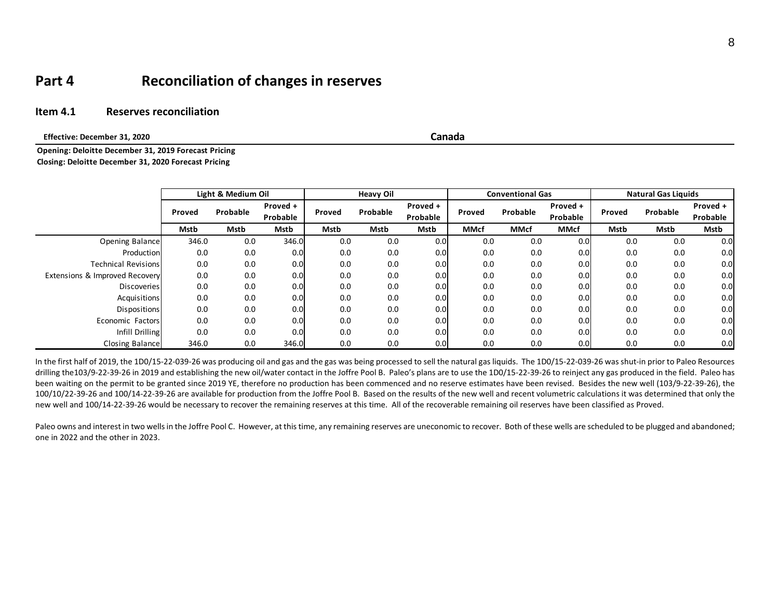# **Part 4 Reconciliation of changes in reserves**

## **Item 4.1 Reserves reconciliation**

 **Effective: December 31, 2020**

**Canada**

**Opening: Deloitte December 31, 2019 Forecast Pricing Closing: Deloitte December 31, 2020 Forecast Pricing**

|                                |               | Light & Medium Oil |                      |        | <b>Heavy Oil</b> |                      |        | <b>Conventional Gas</b> |                      | <b>Natural Gas Liquids</b> |          |                      |
|--------------------------------|---------------|--------------------|----------------------|--------|------------------|----------------------|--------|-------------------------|----------------------|----------------------------|----------|----------------------|
|                                | <b>Proved</b> | Probable           | Proved +<br>Probable | Proved | Probable         | Proved +<br>Probable | Proved | Probable                | Proved +<br>Probable | Proved                     | Probable | Proved +<br>Probable |
|                                | Mstb          | Mstb               | Mstb                 | Mstb   | Mstb             | Mstb                 | MMcf   | <b>MMcf</b>             | <b>MMcf</b>          | Mstb                       | Mstb     | Mstb                 |
| Opening Balance                | 346.0         | 0.0                | 346.0                | 0.0    | 0.0              | 0.0                  | 0.0    | 0.0                     | 0.0                  | 0.0                        | 0.0      | 0.0                  |
| Production                     | 0.0           | 0.0                | 0.0                  | 0.0    | 0.0              | 0.0                  | 0.0    | 0.0                     | 0.0                  | 0.0                        | 0.0      | 0.0                  |
| <b>Technical Revisions</b>     | 0.0           | 0.0                | 0.0                  | 0.0    | 0.0              | 0.0                  | 0.0    | 0.0                     | 0.0                  | 0.0                        | 0.0      | 0.0                  |
| Extensions & Improved Recovery | 0.0           | 0.0                | 0.0                  | 0.0    | 0.0              | 0.0                  | 0.0    | 0.0                     | 0.0                  | 0.0                        | 0.0      | 0.0                  |
| <b>Discoveries</b>             | 0.0           | 0.0                | 0.0                  | 0.0    | 0.0              | 0.0                  | 0.0    | 0.0                     | 0.0                  | 0.0                        | 0.0      | 0.0                  |
| Acquisitions                   | 0.0           | 0.0                | 0.0                  | 0.0    | 0.0              | 0.0                  | 0.0    | 0.0                     | 0.0                  | 0.0                        | 0.0      | 0.0                  |
| <b>Dispositions</b>            | 0.0           | 0.0                | 0.0                  | 0.0    | 0.0              | 0.0                  | 0.0    | 0.0                     | 0.0                  | 0.0                        | 0.0      | 0.0                  |
| Economic Factors               | 0.0           | 0.0                | 0.0                  | 0.0    | 0.0              | 0.0                  | 0.0    | 0.0                     | 0.0                  | 0.0                        | 0.0      | 0.0                  |
| Infill Drilling                | 0.0           | 0.0                | 0.0                  | 0.0    | 0.0              | 0.0                  | 0.0    | 0.0                     | 0.0                  | 0.0                        | 0.0      | 0.0                  |
| Closing Balance                | 346.0         | 0.0                | 346.0                | 0.0    | 0.0              | 0.0                  | 0.0    | 0.0                     | 0.0                  | 0.0                        | 0.0      | 0.0                  |

In the first half of 2019, the 1D0/15-22-039-26 was producing oil and gas and the gas was being processed to sell the natural gas liquids. The 1D0/15-22-039-26 was shut-in prior to Paleo Resources drilling the103/9-22-39-26 in 2019 and establishing the new oil/water contact in the Joffre Pool B. Paleo's plans are to use the 1D0/15-22-39-26 to reinject any gas produced in the field. Paleo has been waiting on the permit to be granted since 2019 YE, therefore no production has been commenced and no reserve estimates have been revised. Besides the new well (103/9-22-39-26), the 100/10/22-39-26 and 100/14-22-39-26 are available for production from the Joffre Pool B. Based on the results of the new well and recent volumetric calculations it was determined that only the new well and 100/14-22-39-26 would be necessary to recover the remaining reserves at this time. All of the recoverable remaining oil reserves have been classified as Proved.

Paleo owns and interest in two wells in the Joffre Pool C. However, at this time, any remaining reserves are uneconomic to recover. Both of these wells are scheduled to be plugged and abandoned; one in 2022 and the other in 2023.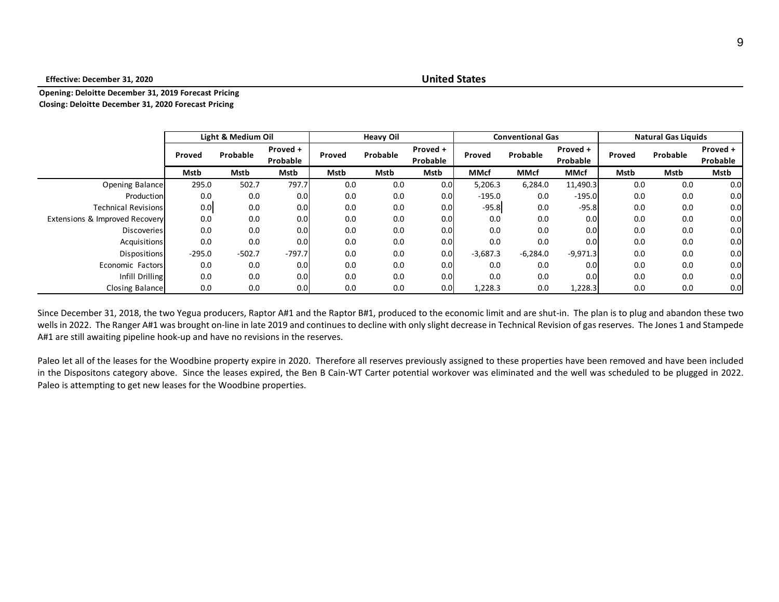#### **Effective: December 31, 2020**

## **United States**

#### **Opening: Deloitte December 31, 2019 Forecast Pricing Closing: Deloitte December 31, 2020 Forecast Pricing**

|                                |          | Light & Medium Oil |                      |        | <b>Heavy Oil</b> |                      |             | <b>Conventional Gas</b> |                      | <b>Natural Gas Liquids</b> |          |                      |
|--------------------------------|----------|--------------------|----------------------|--------|------------------|----------------------|-------------|-------------------------|----------------------|----------------------------|----------|----------------------|
|                                | Proved   | Probable           | Proved +<br>Probable | Proved | Probable         | Proved +<br>Probable | Proved      | Probable                | Proved +<br>Probable | Proved                     | Probable | Proved +<br>Probable |
|                                | Mstb     | Mstb               | Mstb                 | Mstb   | Mstb             | Mstb                 | <b>MMcf</b> | <b>MMcf</b>             | <b>MMcf</b>          | Mstb                       | Mstb     | Mstb                 |
| Opening Balance                | 295.0    | 502.7              | 797.7                | 0.0    | 0.0              | 0.0                  | 5,206.3     | 6,284.0                 | 11,490.3             | 0.0                        | 0.0      | 0.0                  |
| Production                     | 0.0      | 0.0                | 0.0                  | 0.0    | 0.0              | 0.0                  | $-195.0$    | 0.0                     | $-195.0$             | 0.0                        | 0.0      | 0.0                  |
| <b>Technical Revisions</b>     | 0.0      | 0.0                | 0.0                  | 0.0    | 0.0              | 0.0                  | $-95.8$     | 0.0                     | $-95.8$              | 0.0                        | 0.0      | 0.0 <sub>l</sub>     |
| Extensions & Improved Recovery | 0.0      | 0.0                | 0.0                  | 0.0    | 0.0              | 0.0                  | 0.0         | 0.0                     | 0.0                  | 0.0                        | 0.0      | 0.0                  |
| <b>Discoveries</b>             | 0.0      | 0.0                | 0.0                  | 0.0    | 0.0              | 0.0                  | 0.0         | 0.0                     | 0.0                  | 0.0                        | 0.0      | 0.0 <sub>l</sub>     |
| Acquisitions                   | 0.0      | 0.0                | 0.0                  | 0.0    | 0.0              | 0.0                  | 0.0         | 0.0                     | 0.0                  | 0.0                        | 0.0      | 0.0                  |
| Dispositions                   | $-295.0$ | $-502.7$           | $-797.7$             | 0.0    | 0.0              | 0.0                  | $-3,687.3$  | $-6,284.0$              | $-9,971.3$           | 0.0                        | 0.0      | 0.0 <sub>l</sub>     |
| Economic Factors               | 0.0      | 0.0                | 0.0                  | 0.0    | 0.0              | 0.0                  | 0.0         | 0.0                     | 0.0                  | 0.0                        | 0.0      | 0.0                  |
| Infill Drilling                | 0.0      | 0.0                | 0.0                  | 0.0    | 0.0              | 0.0                  | 0.0         | 0.0                     | 0.0                  | 0.0                        | 0.0      | 0.0                  |
| Closing Balance                | 0.0      | 0.0                | 0.0                  | 0.0    | 0.0              | 0.0                  | 1,228.3     | 0.0                     | 1,228.3              | 0.0                        | 0.0      | 0.0 <sub>l</sub>     |

Since December 31, 2018, the two Yegua producers, Raptor A#1 and the Raptor B#1, produced to the economic limit and are shut-in. The plan is to plug and abandon these two wells in 2022. The Ranger A#1 was brought on-line in late 2019 and continues to decline with only slight decrease in Technical Revision of gas reserves. The Jones 1 and Stampede A#1 are still awaiting pipeline hook-up and have no revisions in the reserves.

Paleo let all of the leases for the Woodbine property expire in 2020. Therefore all reserves previously assigned to these properties have been removed and have been included in the Dispositons category above. Since the leases expired, the Ben B Cain-WT Carter potential workover was eliminated and the well was scheduled to be plugged in 2022. Paleo is attempting to get new leases for the Woodbine properties.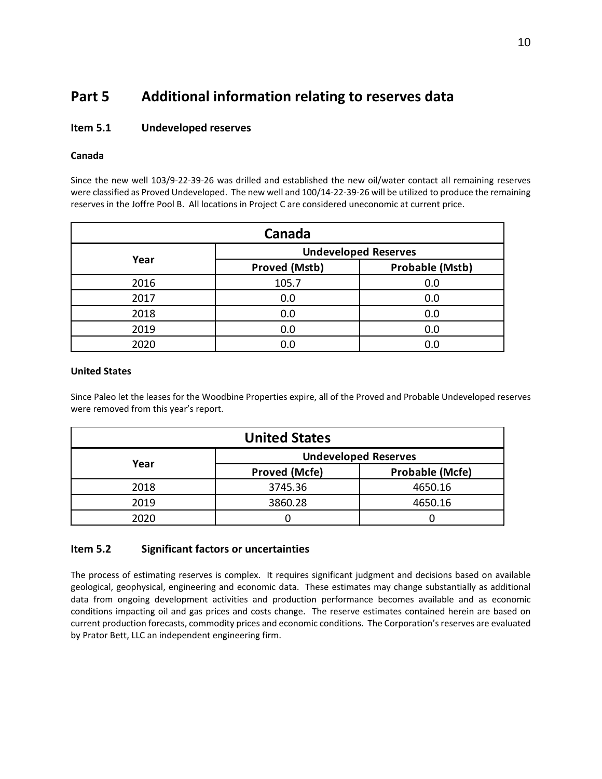# **Part 5 Additional information relating to reserves data**

# **Item 5.1 Undeveloped reserves**

# **Canada**

Since the new well 103/9-22-39-26 was drilled and established the new oil/water contact all remaining reserves were classified as Proved Undeveloped. The new well and 100/14-22-39-26 will be utilized to produce the remaining reserves in the Joffre Pool B. All locations in Project C are considered uneconomic at current price.

| Canada |                             |                        |  |  |  |  |  |  |
|--------|-----------------------------|------------------------|--|--|--|--|--|--|
|        | <b>Undeveloped Reserves</b> |                        |  |  |  |  |  |  |
| Year   | <b>Proved (Mstb)</b>        | <b>Probable (Mstb)</b> |  |  |  |  |  |  |
| 2016   | 105.7                       | 0.0                    |  |  |  |  |  |  |
| 2017   | 0.0                         | 0.0                    |  |  |  |  |  |  |
| 2018   | 0.0                         | 0.0                    |  |  |  |  |  |  |
| 2019   | 0.0                         | 0.0                    |  |  |  |  |  |  |
| 2020   | 0.0                         | 0.0                    |  |  |  |  |  |  |

#### **United States**

Since Paleo let the leases for the Woodbine Properties expire, all of the Proved and Probable Undeveloped reserves were removed from this year's report.

| <b>United States</b> |                             |                        |  |  |  |  |  |  |
|----------------------|-----------------------------|------------------------|--|--|--|--|--|--|
|                      | <b>Undeveloped Reserves</b> |                        |  |  |  |  |  |  |
| Year                 | <b>Proved (Mcfe)</b>        | <b>Probable (Mcfe)</b> |  |  |  |  |  |  |
| 2018                 | 3745.36                     | 4650.16                |  |  |  |  |  |  |
| 2019                 | 3860.28                     | 4650.16                |  |  |  |  |  |  |
| 2020                 |                             |                        |  |  |  |  |  |  |

# **Item 5.2 Significant factors or uncertainties**

The process of estimating reserves is complex. It requires significant judgment and decisions based on available geological, geophysical, engineering and economic data. These estimates may change substantially as additional data from ongoing development activities and production performance becomes available and as economic conditions impacting oil and gas prices and costs change. The reserve estimates contained herein are based on current production forecasts, commodity prices and economic conditions. The Corporation's reserves are evaluated by Prator Bett, LLC an independent engineering firm.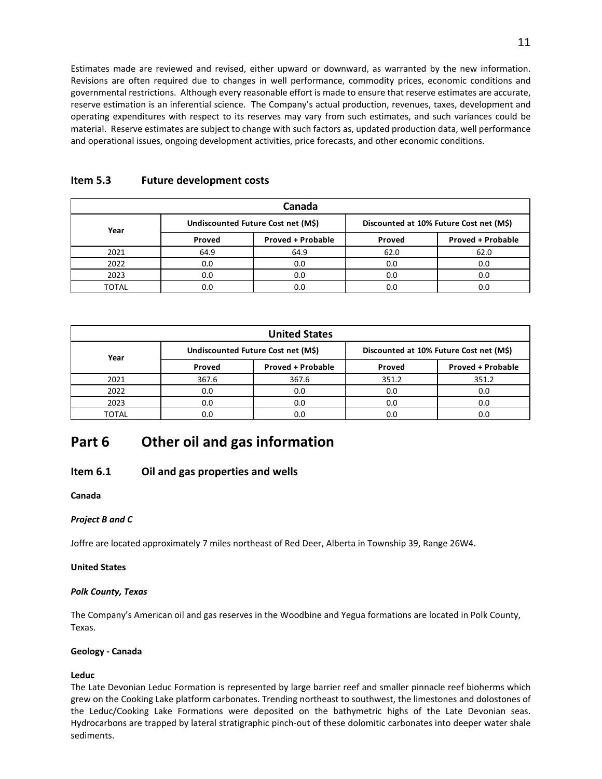Estimates made are reviewed and revised, either upward or downward, as warranted by the new information. Revisions are often required due to changes in well performance, commodity prices, economic conditions and governmental restrictions. Although every reasonable effort is made to ensure that reserve estimates are accurate, reserve estimation is an inferential science. The Company's actual production, revenues, taxes, development and operating expenditures with respect to its reserves may vary from such estimates, and such variances could be material. Reserve estimates are subject to change with such factors as, updated production data, well performance and operational issues, ongoing development activities, price forecasts, and other economic conditions.

| Canada |        |                                    |                                         |                          |  |  |  |  |  |
|--------|--------|------------------------------------|-----------------------------------------|--------------------------|--|--|--|--|--|
| Year   |        | Undiscounted Future Cost net (M\$) | Discounted at 10% Future Cost net (M\$) |                          |  |  |  |  |  |
|        | Proved | <b>Proved + Probable</b>           | Proved                                  | <b>Proved + Probable</b> |  |  |  |  |  |
| 2021   | 64.9   | 64.9                               | 62.0                                    | 62.0                     |  |  |  |  |  |
| 2022   | 0.0    | 0.0                                | 0.0                                     | 0.0                      |  |  |  |  |  |
| 2023   | 0.0    | 0.0                                | 0.0                                     | 0.0                      |  |  |  |  |  |
| TOTAL  | 0.0    |                                    | 0.0                                     |                          |  |  |  |  |  |

# **Item 5.3 Future development costs**

| <b>United States</b> |        |                                    |                                         |                          |  |  |  |  |  |
|----------------------|--------|------------------------------------|-----------------------------------------|--------------------------|--|--|--|--|--|
| Year                 |        | Undiscounted Future Cost net (M\$) | Discounted at 10% Future Cost net (M\$) |                          |  |  |  |  |  |
|                      | Proved | <b>Proved + Probable</b>           | Proved                                  | <b>Proved + Probable</b> |  |  |  |  |  |
| 2021                 | 367.6  | 367.6                              | 351.2                                   | 351.2                    |  |  |  |  |  |
| 2022                 | 0.0    | 0.0                                | 0.0                                     | 0.0                      |  |  |  |  |  |
| 2023                 | 0.0    | 0.0                                | 0.0                                     | 0.0                      |  |  |  |  |  |
| TOTAL                | 0.0    |                                    | 0.0                                     | 0.C                      |  |  |  |  |  |

# **Part 6 Other oil and gas information**

# **Item 6.1 Oil and gas properties and wells**

**Canada**

# *Project B and C*

Joffre are located approximately 7 miles northeast of Red Deer, Alberta in Township 39, Range 26W4.

#### **United States**

#### *Polk County, Texas*

The Company's American oil and gas reserves in the Woodbine and Yegua formations are located in Polk County, Texas.

#### **Geology - Canada**

# **Leduc**

The Late Devonian Leduc Formation is represented by large barrier reef and smaller pinnacle reef bioherms which grew on the Cooking Lake platform carbonates. Trending northeast to southwest, the limestones and dolostones of the Leduc/Cooking Lake Formations were deposited on the bathymetric highs of the Late Devonian seas. Hydrocarbons are trapped by lateral stratigraphic pinch-out of these dolomitic carbonates into deeper water shale sediments.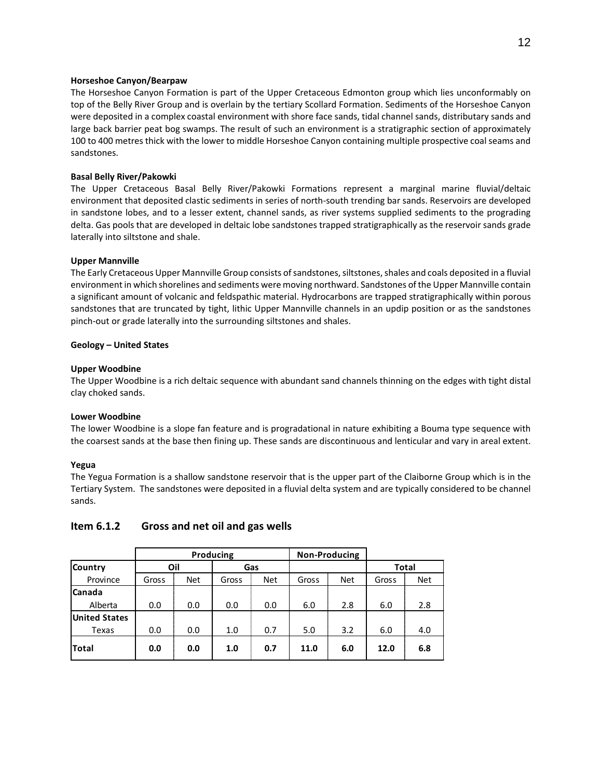#### **Horseshoe Canyon/Bearpaw**

The Horseshoe Canyon Formation is part of the Upper Cretaceous Edmonton group which lies unconformably on top of the Belly River Group and is overlain by the tertiary Scollard Formation. Sediments of the Horseshoe Canyon were deposited in a complex coastal environment with shore face sands, tidal channel sands, distributary sands and large back barrier peat bog swamps. The result of such an environment is a stratigraphic section of approximately 100 to 400 metres thick with the lower to middle Horseshoe Canyon containing multiple prospective coal seams and sandstones.

#### **Basal Belly River/Pakowki**

The Upper Cretaceous Basal Belly River/Pakowki Formations represent a marginal marine fluvial/deltaic environment that deposited clastic sediments in series of north-south trending bar sands. Reservoirs are developed in sandstone lobes, and to a lesser extent, channel sands, as river systems supplied sediments to the prograding delta. Gas pools that are developed in deltaic lobe sandstones trapped stratigraphically as the reservoir sands grade laterally into siltstone and shale.

#### **Upper Mannville**

The Early Cretaceous Upper Mannville Group consists of sandstones, siltstones, shales and coals deposited in a fluvial environment in which shorelines and sediments were moving northward. Sandstones of the Upper Mannville contain a significant amount of volcanic and feldspathic material. Hydrocarbons are trapped stratigraphically within porous sandstones that are truncated by tight, lithic Upper Mannville channels in an updip position or as the sandstones pinch-out or grade laterally into the surrounding siltstones and shales.

#### **Geology – United States**

#### **Upper Woodbine**

The Upper Woodbine is a rich deltaic sequence with abundant sand channels thinning on the edges with tight distal clay choked sands.

#### **Lower Woodbine**

The lower Woodbine is a slope fan feature and is progradational in nature exhibiting a Bouma type sequence with the coarsest sands at the base then fining up. These sands are discontinuous and lenticular and vary in areal extent.

#### **Yegua**

The Yegua Formation is a shallow sandstone reservoir that is the upper part of the Claiborne Group which is in the Tertiary System. The sandstones were deposited in a fluvial delta system and are typically considered to be channel sands.

#### **Item 6.1.2 Gross and net oil and gas wells**

|                      |       |            | Producing |            |       | <b>Non-Producing</b> |       |              |
|----------------------|-------|------------|-----------|------------|-------|----------------------|-------|--------------|
| Country              | Oil   |            | Gas       |            |       |                      |       | <b>Total</b> |
| Province             | Gross | <b>Net</b> | Gross     | <b>Net</b> | Gross | <b>Net</b>           | Gross | Net          |
| <b>Canada</b>        |       |            |           |            |       |                      |       |              |
| Alberta              | 0.0   | 0.0        | 0.0       | 0.0        | 6.0   | 2.8                  | 6.0   | 2.8          |
| <b>United States</b> |       |            |           |            |       |                      |       |              |
| Texas                | 0.0   | 0.0        | 1.0       | 0.7        | 5.0   | 3.2                  | 6.0   | 4.0          |
| <b>Total</b>         | 0.0   | 0.0        | 1.0       | 0.7        | 11.0  | 6.0                  | 12.0  | 6.8          |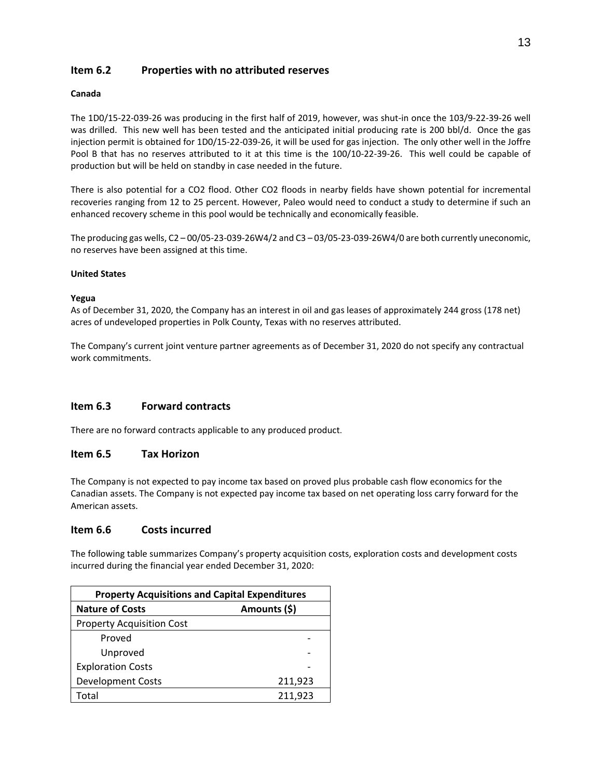# **Item 6.2 Properties with no attributed reserves**

#### **Canada**

The 1D0/15-22-039-26 was producing in the first half of 2019, however, was shut-in once the 103/9-22-39-26 well was drilled. This new well has been tested and the anticipated initial producing rate is 200 bbl/d. Once the gas injection permit is obtained for 1D0/15-22-039-26, it will be used for gas injection. The only other well in the Joffre Pool B that has no reserves attributed to it at this time is the 100/10-22-39-26. This well could be capable of production but will be held on standby in case needed in the future.

There is also potential for a CO2 flood. Other CO2 floods in nearby fields have shown potential for incremental recoveries ranging from 12 to 25 percent. However, Paleo would need to conduct a study to determine if such an enhanced recovery scheme in this pool would be technically and economically feasible.

The producing gas wells, C2 – 00/05-23-039-26W4/2 and C3 – 03/05-23-039-26W4/0 are both currently uneconomic, no reserves have been assigned at this time.

#### **United States**

#### **Yegua**

As of December 31, 2020, the Company has an interest in oil and gas leases of approximately 244 gross (178 net) acres of undeveloped properties in Polk County, Texas with no reserves attributed.

The Company's current joint venture partner agreements as of December 31, 2020 do not specify any contractual work commitments.

# **Item 6.3 Forward contracts**

There are no forward contracts applicable to any produced product.

# **Item 6.5 Tax Horizon**

The Company is not expected to pay income tax based on proved plus probable cash flow economics for the Canadian assets. The Company is not expected pay income tax based on net operating loss carry forward for the American assets.

# **Item 6.6 Costs incurred**

The following table summarizes Company's property acquisition costs, exploration costs and development costs incurred during the financial year ended December 31, 2020:

| <b>Property Acquisitions and Capital Expenditures</b> |              |  |  |  |  |  |  |
|-------------------------------------------------------|--------------|--|--|--|--|--|--|
| <b>Nature of Costs</b>                                | Amounts (\$) |  |  |  |  |  |  |
| <b>Property Acquisition Cost</b>                      |              |  |  |  |  |  |  |
| Proved                                                |              |  |  |  |  |  |  |
| Unproved                                              |              |  |  |  |  |  |  |
| <b>Exploration Costs</b>                              |              |  |  |  |  |  |  |
| <b>Development Costs</b>                              | 211,923      |  |  |  |  |  |  |
| Total                                                 | 211,923      |  |  |  |  |  |  |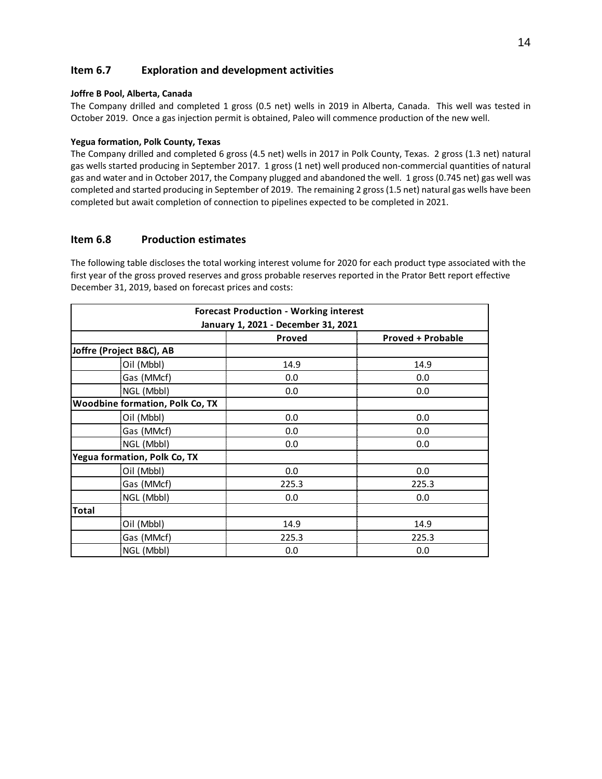# **Item 6.7 Exploration and development activities**

#### **Joffre B Pool, Alberta, Canada**

The Company drilled and completed 1 gross (0.5 net) wells in 2019 in Alberta, Canada. This well was tested in October 2019. Once a gas injection permit is obtained, Paleo will commence production of the new well.

#### **Yegua formation, Polk County, Texas**

The Company drilled and completed 6 gross (4.5 net) wells in 2017 in Polk County, Texas. 2 gross (1.3 net) natural gas wells started producing in September 2017. 1 gross (1 net) well produced non-commercial quantities of natural gas and water and in October 2017, the Company plugged and abandoned the well. 1 gross (0.745 net) gas well was completed and started producing in September of 2019. The remaining 2 gross (1.5 net) natural gas wells have been completed but await completion of connection to pipelines expected to be completed in 2021.

## **Item 6.8 Production estimates**

The following table discloses the total working interest volume for 2020 for each product type associated with the first year of the gross proved reserves and gross probable reserves reported in the Prator Bett report effective December 31, 2019, based on forecast prices and costs:

| <b>Forecast Production - Working interest</b> |                                     |                          |  |  |  |  |  |  |
|-----------------------------------------------|-------------------------------------|--------------------------|--|--|--|--|--|--|
|                                               | January 1, 2021 - December 31, 2021 |                          |  |  |  |  |  |  |
|                                               | Proved                              | <b>Proved + Probable</b> |  |  |  |  |  |  |
| Joffre (Project B&C), AB                      |                                     |                          |  |  |  |  |  |  |
| Oil (Mbbl)                                    | 14.9                                | 14.9                     |  |  |  |  |  |  |
| Gas (MMcf)                                    | 0.0                                 | 0.0                      |  |  |  |  |  |  |
| NGL (Mbbl)                                    | 0.0                                 | 0.0                      |  |  |  |  |  |  |
| <b>Woodbine formation, Polk Co, TX</b>        |                                     |                          |  |  |  |  |  |  |
| Oil (Mbbl)                                    | 0.0                                 | 0.0                      |  |  |  |  |  |  |
| Gas (MMcf)                                    | 0.0                                 | 0.0                      |  |  |  |  |  |  |
| NGL (Mbbl)                                    | 0.0                                 | 0.0                      |  |  |  |  |  |  |
| Yegua formation, Polk Co, TX                  |                                     |                          |  |  |  |  |  |  |
| Oil (Mbbl)                                    | 0.0                                 | 0.0                      |  |  |  |  |  |  |
| Gas (MMcf)                                    | 225.3                               | 225.3                    |  |  |  |  |  |  |
| NGL (Mbbl)                                    | 0.0                                 | 0.0                      |  |  |  |  |  |  |
| <b>Total</b>                                  |                                     |                          |  |  |  |  |  |  |
| Oil (Mbbl)                                    | 14.9                                | 14.9                     |  |  |  |  |  |  |
| Gas (MMcf)                                    | 225.3                               | 225.3                    |  |  |  |  |  |  |
| NGL (Mbbl)                                    | 0.0                                 | 0.0                      |  |  |  |  |  |  |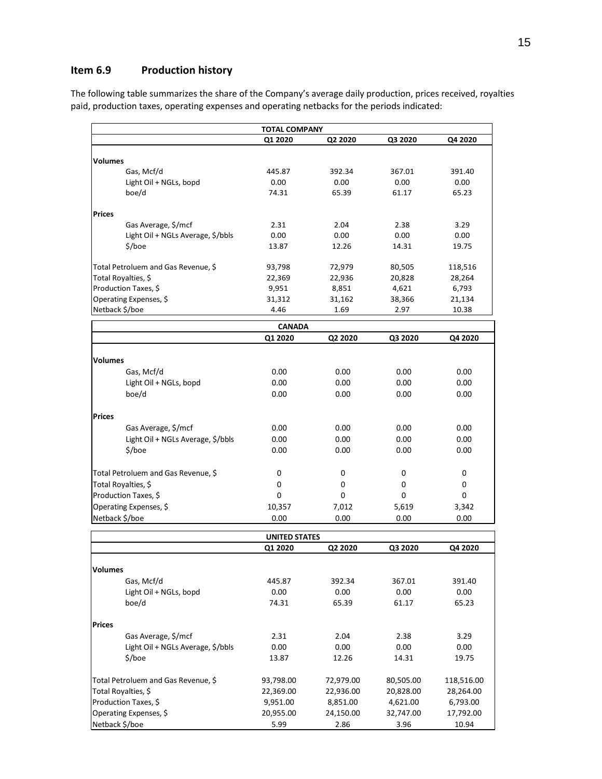# **Item 6.9 Production history**

The following table summarizes the share of the Company's average daily production, prices received, royalties paid, production taxes, operating expenses and operating netbacks for the periods indicated:

|                                     | <b>TOTAL COMPANY</b> |         |         |         |  |  |  |  |  |  |
|-------------------------------------|----------------------|---------|---------|---------|--|--|--|--|--|--|
|                                     | Q1 2020              | Q2 2020 | Q3 2020 | Q4 2020 |  |  |  |  |  |  |
|                                     |                      |         |         |         |  |  |  |  |  |  |
| <b>Volumes</b>                      |                      |         |         |         |  |  |  |  |  |  |
| Gas, Mcf/d                          | 445.87               | 392.34  | 367.01  | 391.40  |  |  |  |  |  |  |
| Light Oil + NGLs, bopd              | 0.00                 | 0.00    | 0.00    | 0.00    |  |  |  |  |  |  |
| boe/d                               | 74.31                | 65.39   | 61.17   | 65.23   |  |  |  |  |  |  |
| <b>Prices</b>                       |                      |         |         |         |  |  |  |  |  |  |
| Gas Average, \$/mcf                 | 2.31                 | 2.04    | 2.38    | 3.29    |  |  |  |  |  |  |
| Light Oil + NGLs Average, \$/bbls   | 0.00                 | 0.00    | 0.00    | 0.00    |  |  |  |  |  |  |
| \$/boe                              | 13.87                | 12.26   | 14.31   | 19.75   |  |  |  |  |  |  |
| Total Petroluem and Gas Revenue, \$ | 93,798               | 72,979  | 80,505  | 118,516 |  |  |  |  |  |  |
| Total Royalties, \$                 | 22,369               | 22,936  | 20,828  | 28,264  |  |  |  |  |  |  |
| Production Taxes, \$                | 9,951                | 8,851   | 4,621   | 6,793   |  |  |  |  |  |  |
| Operating Expenses, \$              | 31,312               | 31,162  | 38,366  | 21,134  |  |  |  |  |  |  |
| Netback \$/boe                      | 4.46                 | 1.69    | 2.97    | 10.38   |  |  |  |  |  |  |
|                                     | <b>CANADA</b>        |         |         |         |  |  |  |  |  |  |
|                                     | Q1 2020              | Q2 2020 | Q3 2020 | Q4 2020 |  |  |  |  |  |  |
| <b>Volumes</b>                      |                      |         |         |         |  |  |  |  |  |  |
| Gas, Mcf/d                          | 0.00                 | 0.00    | 0.00    | 0.00    |  |  |  |  |  |  |
| Light Oil + NGLs, bopd              | 0.00                 | 0.00    | 0.00    | 0.00    |  |  |  |  |  |  |
| boe/d                               | 0.00                 | 0.00    | 0.00    | 0.00    |  |  |  |  |  |  |
|                                     |                      |         |         |         |  |  |  |  |  |  |
| Prices                              |                      |         |         |         |  |  |  |  |  |  |
| Gas Average, \$/mcf                 | 0.00                 | 0.00    | 0.00    | 0.00    |  |  |  |  |  |  |
| Light Oil + NGLs Average, \$/bbls   | 0.00                 | 0.00    | 0.00    | 0.00    |  |  |  |  |  |  |
| \$/boe                              | 0.00                 | 0.00    | 0.00    | 0.00    |  |  |  |  |  |  |
| Total Petroluem and Gas Revenue, \$ | 0                    | 0       | 0       | 0       |  |  |  |  |  |  |
| Total Royalties, \$                 | 0                    | 0       | 0       | 0       |  |  |  |  |  |  |
| Production Taxes, \$                | 0                    | 0       | 0       | 0       |  |  |  |  |  |  |
| Operating Expenses, \$              | 10,357               | 7,012   | 5,619   | 3,342   |  |  |  |  |  |  |
| Netback \$/boe                      | 0.00                 | 0.00    | 0.00    | 0.00    |  |  |  |  |  |  |
|                                     |                      |         |         |         |  |  |  |  |  |  |
|                                     | 111777               |         |         |         |  |  |  |  |  |  |

| <b>UNITED STATES</b>                |           |           |           |            |  |  |  |
|-------------------------------------|-----------|-----------|-----------|------------|--|--|--|
|                                     | Q1 2020   | Q2 2020   | Q3 2020   | Q4 2020    |  |  |  |
|                                     |           |           |           |            |  |  |  |
| <b>Volumes</b>                      |           |           |           |            |  |  |  |
| Gas, Mcf/d                          | 445.87    | 392.34    | 367.01    | 391.40     |  |  |  |
| Light Oil + NGLs, bopd              | 0.00      | 0.00      | 0.00      | 0.00       |  |  |  |
| boe/d                               | 74.31     | 65.39     | 61.17     | 65.23      |  |  |  |
| Prices                              |           |           |           |            |  |  |  |
| Gas Average, \$/mcf                 | 2.31      | 2.04      | 2.38      | 3.29       |  |  |  |
| Light Oil + NGLs Average, \$/bbls   | 0.00      | 0.00      | 0.00      | 0.00       |  |  |  |
| \$/boe                              | 13.87     | 12.26     | 14.31     | 19.75      |  |  |  |
| Total Petroluem and Gas Revenue, \$ | 93,798.00 | 72,979.00 | 80,505.00 | 118,516.00 |  |  |  |
| Total Royalties, \$                 | 22,369.00 | 22,936.00 | 20,828.00 | 28,264.00  |  |  |  |
| Production Taxes, \$                | 9,951.00  | 8,851.00  | 4,621.00  | 6,793.00   |  |  |  |
| Operating Expenses, \$              | 20,955.00 | 24,150.00 | 32,747.00 | 17,792.00  |  |  |  |
| Netback \$/boe                      | 5.99      | 2.86      | 3.96      | 10.94      |  |  |  |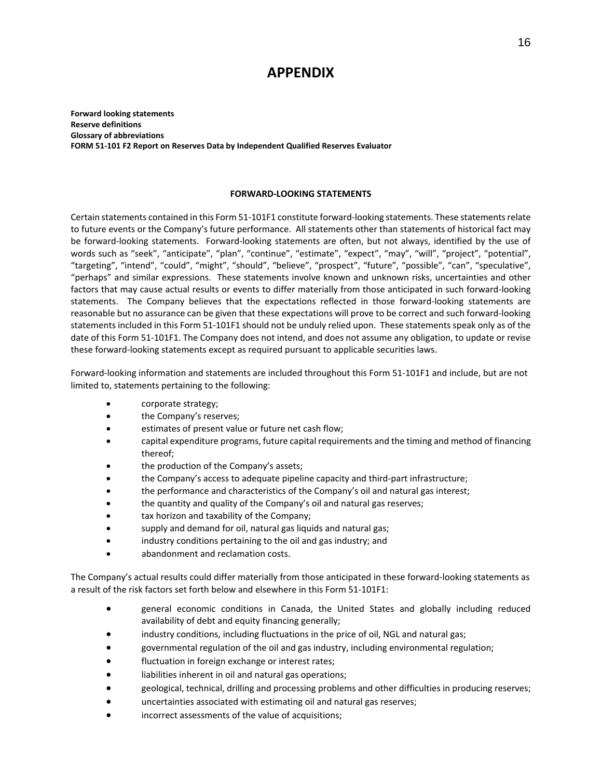# **APPENDIX**

**Forward looking statements Reserve definitions Glossary of abbreviations FORM 51-101 F2 Report on Reserves Data by Independent Qualified Reserves Evaluator**

#### **FORWARD-LOOKING STATEMENTS**

Certain statements contained in this Form 51-101F1 constitute forward-looking statements. These statements relate to future events or the Company's future performance. All statements other than statements of historical fact may be forward-looking statements. Forward-looking statements are often, but not always, identified by the use of words such as "seek", "anticipate", "plan", "continue", "estimate", "expect", "may", "will", "project", "potential", "targeting", "intend", "could", "might", "should", "believe", "prospect", "future", "possible", "can", "speculative", "perhaps" and similar expressions. These statements involve known and unknown risks, uncertainties and other factors that may cause actual results or events to differ materially from those anticipated in such forward-looking statements. The Company believes that the expectations reflected in those forward-looking statements are reasonable but no assurance can be given that these expectations will prove to be correct and such forward-looking statements included in this Form 51-101F1 should not be unduly relied upon. These statements speak only as of the date of this Form 51-101F1. The Company does not intend, and does not assume any obligation, to update or revise these forward-looking statements except as required pursuant to applicable securities laws.

Forward-looking information and statements are included throughout this Form 51-101F1 and include, but are not limited to, statements pertaining to the following:

- corporate strategy;
- the Company's reserves;
- estimates of present value or future net cash flow;
- capital expenditure programs, future capital requirements and the timing and method of financing thereof;
- the production of the Company's assets;
- the Company's access to adequate pipeline capacity and third-part infrastructure;
- the performance and characteristics of the Company's oil and natural gas interest;
- the quantity and quality of the Company's oil and natural gas reserves;
- tax horizon and taxability of the Company;
- supply and demand for oil, natural gas liquids and natural gas;
- industry conditions pertaining to the oil and gas industry; and
- abandonment and reclamation costs.

The Company's actual results could differ materially from those anticipated in these forward-looking statements as a result of the risk factors set forth below and elsewhere in this Form 51-101F1:

- general economic conditions in Canada, the United States and globally including reduced availability of debt and equity financing generally;
- industry conditions, including fluctuations in the price of oil, NGL and natural gas;
- governmental regulation of the oil and gas industry, including environmental regulation;
- fluctuation in foreign exchange or interest rates;
- liabilities inherent in oil and natural gas operations;
- geological, technical, drilling and processing problems and other difficulties in producing reserves;
- uncertainties associated with estimating oil and natural gas reserves;
- incorrect assessments of the value of acquisitions;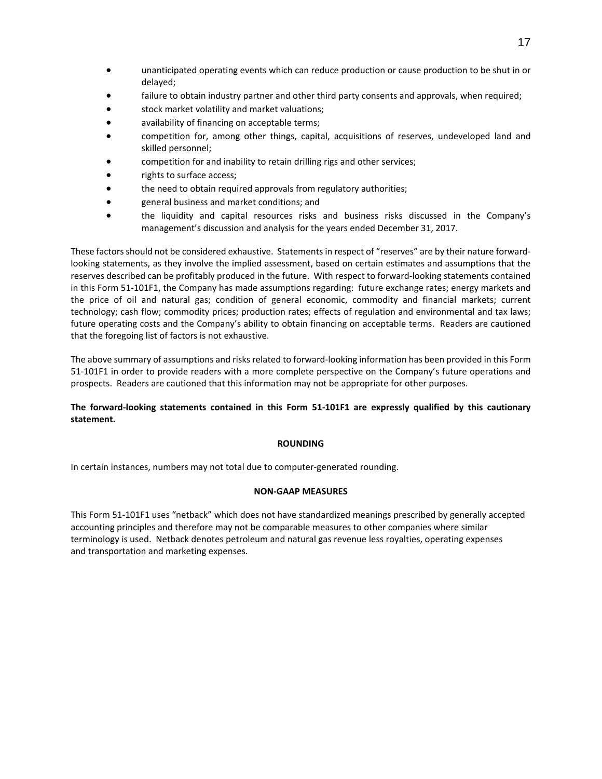- unanticipated operating events which can reduce production or cause production to be shut in or delayed;
- failure to obtain industry partner and other third party consents and approvals, when required;
- stock market volatility and market valuations;
- availability of financing on acceptable terms;
- competition for, among other things, capital, acquisitions of reserves, undeveloped land and skilled personnel;
- competition for and inability to retain drilling rigs and other services;
- rights to surface access;
- the need to obtain required approvals from regulatory authorities;
- general business and market conditions; and
- the liquidity and capital resources risks and business risks discussed in the Company's management's discussion and analysis for the years ended December 31, 2017.

These factors should not be considered exhaustive. Statements in respect of "reserves" are by their nature forwardlooking statements, as they involve the implied assessment, based on certain estimates and assumptions that the reserves described can be profitably produced in the future. With respect to forward-looking statements contained in this Form 51-101F1, the Company has made assumptions regarding: future exchange rates; energy markets and the price of oil and natural gas; condition of general economic, commodity and financial markets; current technology; cash flow; commodity prices; production rates; effects of regulation and environmental and tax laws; future operating costs and the Company's ability to obtain financing on acceptable terms. Readers are cautioned that the foregoing list of factors is not exhaustive.

The above summary of assumptions and risks related to forward-looking information has been provided in this Form 51-101F1 in order to provide readers with a more complete perspective on the Company's future operations and prospects. Readers are cautioned that this information may not be appropriate for other purposes.

#### **The forward-looking statements contained in this Form 51-101F1 are expressly qualified by this cautionary statement.**

#### **ROUNDING**

In certain instances, numbers may not total due to computer-generated rounding.

#### **NON-GAAP MEASURES**

This Form 51-101F1 uses "netback" which does not have standardized meanings prescribed by generally accepted accounting principles and therefore may not be comparable measures to other companies where similar terminology is used. Netback denotes petroleum and natural gas revenue less royalties, operating expenses and transportation and marketing expenses.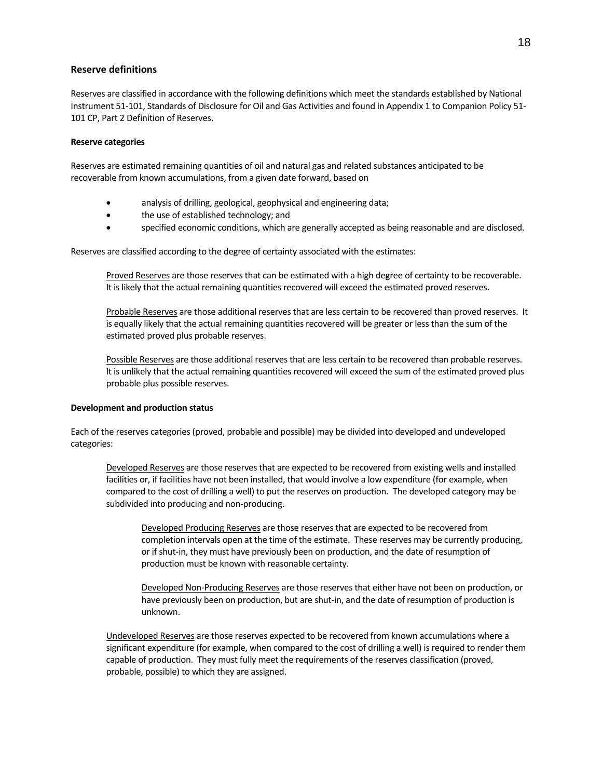#### **Reserve definitions**

Reserves are classified in accordance with the following definitions which meet the standards established by National Instrument 51-101, Standards of Disclosure for Oil and Gas Activities and found in Appendix 1 to Companion Policy 51- 101 CP, Part 2 Definition of Reserves.

#### **Reserve categories**

Reserves are estimated remaining quantities of oil and natural gas and related substances anticipated to be recoverable from known accumulations, from a given date forward, based on

- analysis of drilling, geological, geophysical and engineering data;
- the use of established technology; and
- specified economic conditions, which are generally accepted as being reasonable and are disclosed.

Reserves are classified according to the degree of certainty associated with the estimates:

Proved Reserves are those reserves that can be estimated with a high degree of certainty to be recoverable. It is likely that the actual remaining quantities recovered will exceed the estimated proved reserves.

Probable Reserves are those additional reserves that are less certain to be recovered than proved reserves. It is equally likely that the actual remaining quantities recovered will be greater or less than the sum of the estimated proved plus probable reserves.

Possible Reserves are those additional reserves that are less certain to be recovered than probable reserves. It is unlikely that the actual remaining quantities recovered will exceed the sum of the estimated proved plus probable plus possible reserves.

#### **Development and production status**

Each of the reserves categories (proved, probable and possible) may be divided into developed and undeveloped categories:

Developed Reserves are those reserves that are expected to be recovered from existing wells and installed facilities or, if facilities have not been installed, that would involve a low expenditure (for example, when compared to the cost of drilling a well) to put the reserves on production. The developed category may be subdivided into producing and non-producing.

Developed Producing Reserves are those reserves that are expected to be recovered from completion intervals open at the time of the estimate. These reserves may be currently producing, or if shut-in, they must have previously been on production, and the date of resumption of production must be known with reasonable certainty.

Developed Non-Producing Reserves are those reserves that either have not been on production, or have previously been on production, but are shut-in, and the date of resumption of production is unknown.

Undeveloped Reserves are those reserves expected to be recovered from known accumulations where a significant expenditure (for example, when compared to the cost of drilling a well) is required to render them capable of production. They must fully meet the requirements of the reserves classification (proved, probable, possible) to which they are assigned.